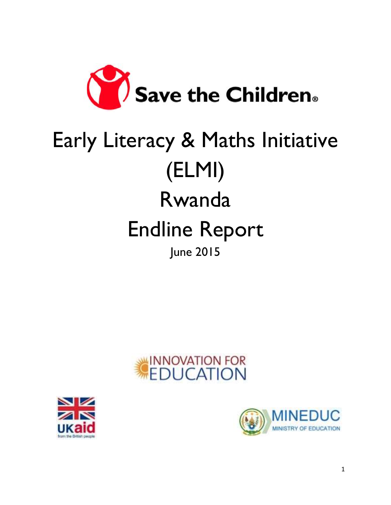

# Early Literacy & Maths Initiative (ELMI) Rwanda Endline Report June 2015





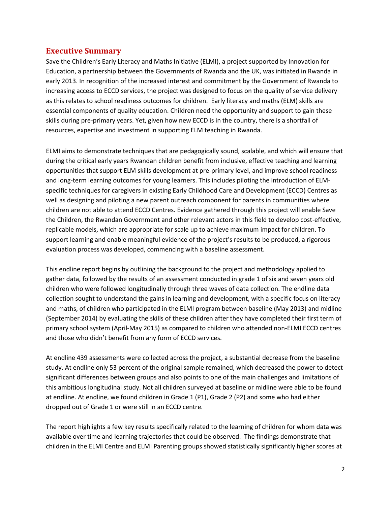## <span id="page-1-0"></span>**Executive Summary**

Save the Children's Early Literacy and Maths Initiative (ELMI), a project supported by Innovation for Education, a partnership between the Governments of Rwanda and the UK, was initiated in Rwanda in early 2013. In recognition of the increased interest and commitment by the Government of Rwanda to increasing access to ECCD services, the project was designed to focus on the quality of service delivery as this relates to school readiness outcomes for children. Early literacy and maths (ELM) skills are essential components of quality education. Children need the opportunity and support to gain these skills during pre-primary years. Yet, given how new ECCD is in the country, there is a shortfall of resources, expertise and investment in supporting ELM teaching in Rwanda.

ELMI aims to demonstrate techniques that are pedagogically sound, scalable, and which will ensure that during the critical early years Rwandan children benefit from inclusive, effective teaching and learning opportunities that support ELM skills development at pre-primary level, and improve school readiness and long-term learning outcomes for young learners. This includes piloting the introduction of ELMspecific techniques for caregivers in existing Early Childhood Care and Development (ECCD) Centres as well as designing and piloting a new parent outreach component for parents in communities where children are not able to attend ECCD Centres. Evidence gathered through this project will enable Save the Children, the Rwandan Government and other relevant actors in this field to develop cost-effective, replicable models, which are appropriate for scale up to achieve maximum impact for children. To support learning and enable meaningful evidence of the project's results to be produced, a rigorous evaluation process was developed, commencing with a baseline assessment.

This endline report begins by outlining the background to the project and methodology applied to gather data, followed by the results of an assessment conducted in grade 1 of six and seven years old children who were followed longitudinally through three waves of data collection. The endline data collection sought to understand the gains in learning and development, with a specific focus on literacy and maths, of children who participated in the ELMI program between baseline (May 2013) and midline (September 2014) by evaluating the skills of these children after they have completed their first term of primary school system (April-May 2015) as compared to children who attended non-ELMI ECCD centres and those who didn't benefit from any form of ECCD services.

At endline 439 assessments were collected across the project, a substantial decrease from the baseline study. At endline only 53 percent of the original sample remained, which decreased the power to detect significant differences between groups and also points to one of the main challenges and limitations of this ambitious longitudinal study. Not all children surveyed at baseline or midline were able to be found at endline. At endline, we found children in Grade 1 (P1), Grade 2 (P2) and some who had either dropped out of Grade 1 or were still in an ECCD centre.

The report highlights a few key results specifically related to the learning of children for whom data was available over time and learning trajectories that could be observed. The findings demonstrate that children in the ELMI Centre and ELMI Parenting groups showed statistically significantly higher scores at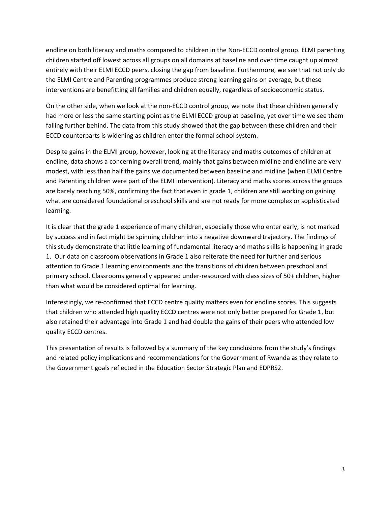endline on both literacy and maths compared to children in the Non-ECCD control group. ELMI parenting children started off lowest across all groups on all domains at baseline and over time caught up almost entirely with their ELMI ECCD peers, closing the gap from baseline. Furthermore, we see that not only do the ELMI Centre and Parenting programmes produce strong learning gains on average, but these interventions are benefitting all families and children equally, regardless of socioeconomic status.

On the other side, when we look at the non-ECCD control group, we note that these children generally had more or less the same starting point as the ELMI ECCD group at baseline, yet over time we see them falling further behind. The data from this study showed that the gap between these children and their ECCD counterparts is widening as children enter the formal school system.

Despite gains in the ELMI group, however, looking at the literacy and maths outcomes of children at endline, data shows a concerning overall trend, mainly that gains between midline and endline are very modest, with less than half the gains we documented between baseline and midline (when ELMI Centre and Parenting children were part of the ELMI intervention). Literacy and maths scores across the groups are barely reaching 50%, confirming the fact that even in grade 1, children are still working on gaining what are considered foundational preschool skills and are not ready for more complex or sophisticated learning.

It is clear that the grade 1 experience of many children, especially those who enter early, is not marked by success and in fact might be spinning children into a negative downward trajectory. The findings of this study demonstrate that little learning of fundamental literacy and maths skills is happening in grade 1. Our data on classroom observations in Grade 1 also reiterate the need for further and serious attention to Grade 1 learning environments and the transitions of children between preschool and primary school. Classrooms generally appeared under-resourced with class sizes of 50+ children, higher than what would be considered optimal for learning.

Interestingly, we re-confirmed that ECCD centre quality matters even for endline scores. This suggests that children who attended high quality ECCD centres were not only better prepared for Grade 1, but also retained their advantage into Grade 1 and had double the gains of their peers who attended low quality ECCD centres.

This presentation of results is followed by a summary of the key conclusions from the study's findings and related policy implications and recommendations for the Government of Rwanda as they relate to the Government goals reflected in the Education Sector Strategic Plan and EDPRS2.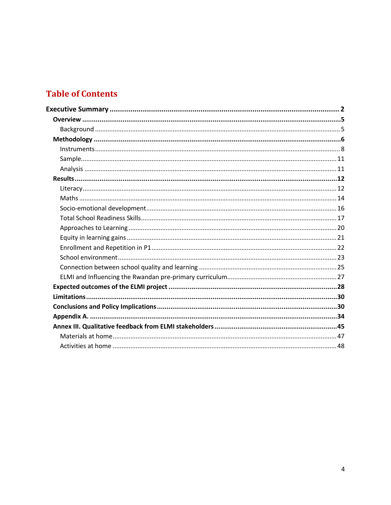# **Table of Contents**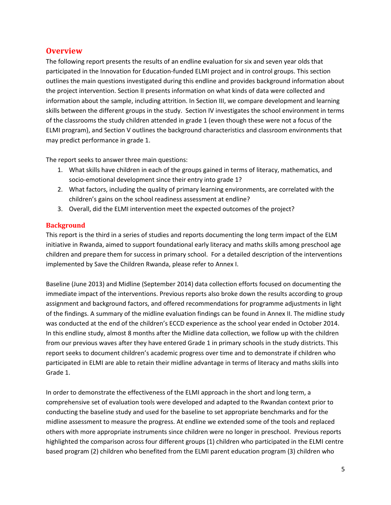## <span id="page-4-0"></span>**Overview**

The following report presents the results of an endline evaluation for six and seven year olds that participated in the Innovation for Education-funded ELMI project and in control groups. This section outlines the main questions investigated during this endline and provides background information about the project intervention. Section II presents information on what kinds of data were collected and information about the sample, including attrition. In Section III, we compare development and learning skills between the different groups in the study. Section IV investigates the school environment in terms of the classrooms the study children attended in grade 1 (even though these were not a focus of the ELMI program), and Section V outlines the background characteristics and classroom environments that may predict performance in grade 1.

The report seeks to answer three main questions:

- 1. What skills have children in each of the groups gained in terms of literacy, mathematics, and socio-emotional development since their entry into grade 1?
- 2. What factors, including the quality of primary learning environments, are correlated with the children's gains on the school readiness assessment at endline?
- 3. Overall, did the ELMI intervention meet the expected outcomes of the project?

#### <span id="page-4-1"></span>**Background**

This report is the third in a series of studies and reports documenting the long term impact of the ELM initiative in Rwanda, aimed to support foundational early literacy and maths skills among preschool age children and prepare them for success in primary school. For a detailed description of the interventions implemented by Save the Children Rwanda, please refer to Annex I.

Baseline (June 2013) and Midline (September 2014) data collection efforts focused on documenting the immediate impact of the interventions. Previous reports also broke down the results according to group assignment and background factors, and offered recommendations for programme adjustments in light of the findings. A summary of the midline evaluation findings can be found in Annex II. The midline study was conducted at the end of the children's ECCD experience as the school year ended in October 2014. In this endline study, almost 8 months after the Midline data collection, we follow up with the children from our previous waves after they have entered Grade 1 in primary schools in the study districts. This report seeks to document children's academic progress over time and to demonstrate if children who participated in ELMI are able to retain their midline advantage in terms of literacy and maths skills into Grade 1.

In order to demonstrate the effectiveness of the ELMI approach in the short and long term, a comprehensive set of evaluation tools were developed and adapted to the Rwandan context prior to conducting the baseline study and used for the baseline to set appropriate benchmarks and for the midline assessment to measure the progress. At endline we extended some of the tools and replaced others with more appropriate instruments since children were no longer in preschool. Previous reports highlighted the comparison across four different groups (1) children who participated in the ELMI centre based program (2) children who benefited from the ELMI parent education program (3) children who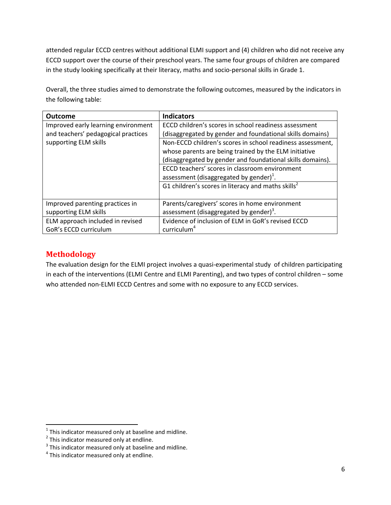attended regular ECCD centres without additional ELMI support and (4) children who did not receive any ECCD support over the course of their preschool years. The same four groups of children are compared in the study looking specifically at their literacy, maths and socio-personal skills in Grade 1.

Overall, the three studies aimed to demonstrate the following outcomes, measured by the indicators in the following table:

| <b>Outcome</b>                      | <b>Indicators</b>                                              |
|-------------------------------------|----------------------------------------------------------------|
| Improved early learning environment | ECCD children's scores in school readiness assessment          |
| and teachers' pedagogical practices | (disaggregated by gender and foundational skills domains)      |
| supporting ELM skills               | Non-ECCD children's scores in school readiness assessment,     |
|                                     | whose parents are being trained by the ELM initiative          |
|                                     | (disaggregated by gender and foundational skills domains).     |
|                                     | ECCD teachers' scores in classroom environment                 |
|                                     | assessment (disaggregated by gender) <sup>1</sup> .            |
|                                     | G1 children's scores in literacy and maths skills <sup>2</sup> |
|                                     |                                                                |
| Improved parenting practices in     | Parents/caregivers' scores in home environment                 |
| supporting ELM skills               | assessment (disaggregated by gender) <sup>3</sup> .            |
| ELM approach included in revised    | Evidence of inclusion of ELM in GoR's revised ECCD             |
| GoR's ECCD curriculum               | curriculum <sup>4</sup>                                        |

# <span id="page-5-0"></span>**Methodology**

The evaluation design for the ELMI project involves a quasi-experimental study of children participating in each of the interventions (ELMI Centre and ELMI Parenting), and two types of control children – some who attended non-ELMI ECCD Centres and some with no exposure to any ECCD services.

 $1$  This indicator measured only at baseline and midline.

 $2^{2}$  This indicator measured only at endline.

 $3$  This indicator measured only at baseline and midline.<br> $4$  This indicator measured only at endline.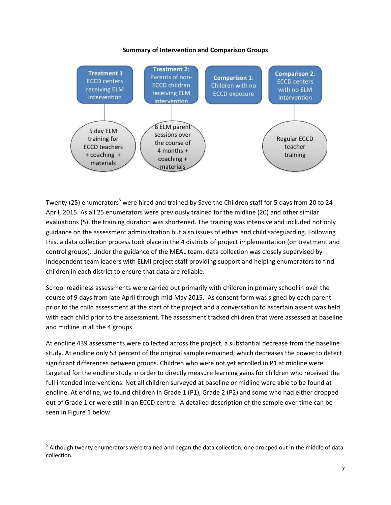#### **Summary of Intervention and Comparison Groups**



Twenty (25) enumerators<sup>5</sup> were hired and trained by Save the Children staff for 5 days from 20 to 24 April, 2015. As all 25 enumerators were previously trained for the midline (20) and other similar evaluations (5), the training duration was shortened. The training was intensive and included not only guidance on the assessment administration but also issues of ethics and child safeguarding. Following this, a data collection process took place in the 4 districts of project implementation (on treatment and control groups). Under the guidance of the MEAL team, data collection was closely supervised by independent team leaders with ELMI project staff providing support and helping enumerators to find children in each district to ensure that data are reliable.

School readiness assessments were carried out primarily with children in primary school in over the course of 9 days from late April through mid-May 2015. As consent form was signed by each parent prior to the child assessment at the start of the project and a conversation to ascertain assent was held with each child prior to the assessment. The assessment tracked children that were assessed at baseline and midline in all the 4 groups.

At endline 439 assessments were collected across the project, a substantial decrease from the baseline study. At endline only 53 percent of the original sample remained, which decreases the power to detect significant differences between groups. Children who were not yet enrolled in P1 at midline were targeted for the endline study in order to directly measure learning gains for children who received the full intended interventions. Not all children surveyed at baseline or midline were able to be found at endline. At endline, we found children in Grade 1 (P1), Grade 2 (P2) and some who had either dropped out of Grade 1 or were still in an ECCD centre. A detailed description of the sample over time can be seen in Figure 1 below.

 $<sup>5</sup>$  Although twenty enumerators were trained and began the data collection, one dropped out in the middle of data</sup> collection.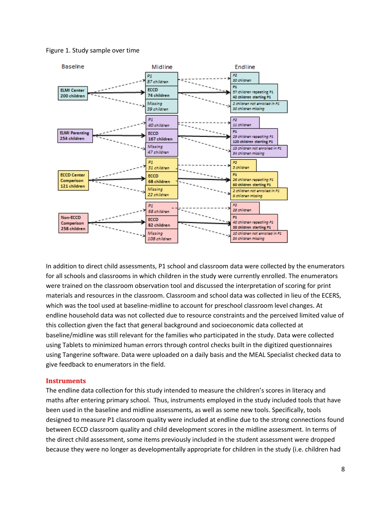#### Figure 1. Study sample over time



In addition to direct child assessments, P1 school and classroom data were collected by the enumerators for all schools and classrooms in which children in the study were currently enrolled. The enumerators were trained on the classroom observation tool and discussed the interpretation of scoring for print materials and resources in the classroom. Classroom and school data was collected in lieu of the ECERS, which was the tool used at baseline-midline to account for preschool classroom level changes. At endline household data was not collected due to resource constraints and the perceived limited value of this collection given the fact that general background and socioeconomic data collected at baseline/midline was still relevant for the families who participated in the study. Data were collected using Tablets to minimized human errors through control checks built in the digitized questionnaires using Tangerine software. Data were uploaded on a daily basis and the MEAL Specialist checked data to give feedback to enumerators in the field.

#### <span id="page-7-0"></span>**Instruments**

The endline data collection for this study intended to measure the children's scores in literacy and maths after entering primary school. Thus, instruments employed in the study included tools that have been used in the baseline and midline assessments, as well as some new tools. Specifically, tools designed to measure P1 classroom quality were included at endline due to the strong connections found between ECCD classroom quality and child development scores in the midline assessment. In terms of the direct child assessment, some items previously included in the student assessment were dropped because they were no longer as developmentally appropriate for children in the study (i.e. children had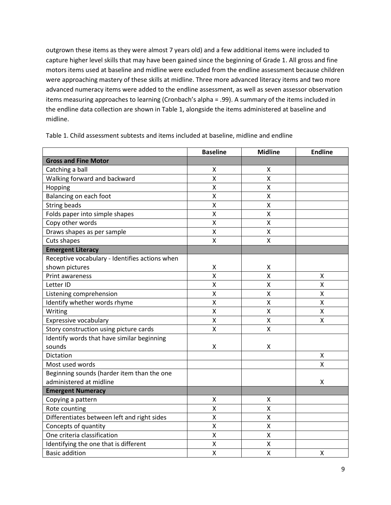outgrown these items as they were almost 7 years old) and a few additional items were included to capture higher level skills that may have been gained since the beginning of Grade 1. All gross and fine motors items used at baseline and midline were excluded from the endline assessment because children were approaching mastery of these skills at midline. Three more advanced literacy items and two more advanced numeracy items were added to the endline assessment, as well as seven assessor observation items measuring approaches to learning (Cronbach's alpha = .99). A summary of the items included in the endline data collection are shown in Table 1, alongside the items administered at baseline and midline.

|                                                | <b>Baseline</b>         | <b>Midline</b>          | <b>Endline</b>          |
|------------------------------------------------|-------------------------|-------------------------|-------------------------|
| <b>Gross and Fine Motor</b>                    |                         |                         |                         |
| Catching a ball                                | X                       | X                       |                         |
| Walking forward and backward                   | $\sf X$                 | Χ                       |                         |
| Hopping                                        | X                       | Χ                       |                         |
| Balancing on each foot                         | Χ                       | Χ                       |                         |
| <b>String beads</b>                            | X                       | $\pmb{\mathsf{X}}$      |                         |
| Folds paper into simple shapes                 | $\pmb{\mathsf{X}}$      | $\pmb{\mathsf{X}}$      |                         |
| Copy other words                               | $\pmb{\mathsf{X}}$      | $\pmb{\mathsf{X}}$      |                         |
| Draws shapes as per sample                     | $\pmb{\mathsf{X}}$      | $\mathsf{X}$            |                         |
| Cuts shapes                                    | X                       | $\mathsf{X}$            |                         |
| <b>Emergent Literacy</b>                       |                         |                         |                         |
| Receptive vocabulary - Identifies actions when |                         |                         |                         |
| shown pictures                                 | Χ                       | Χ                       |                         |
| Print awareness                                | $\overline{\mathsf{x}}$ | $\mathsf{\overline{X}}$ | Χ                       |
| Letter ID                                      | $\pmb{\mathsf{X}}$      | $\pmb{\mathsf{X}}$      | $\pmb{\mathsf{X}}$      |
| Listening comprehension                        | Χ                       | X                       | Χ                       |
| Identify whether words rhyme                   | $\pmb{\mathsf{X}}$      | $\mathsf{X}$            | Χ                       |
| Writing                                        | Χ                       | X                       | Χ                       |
| Expressive vocabulary                          | $\pmb{\mathsf{X}}$      | Χ                       | X                       |
| Story construction using picture cards         | Χ                       | X                       |                         |
| Identify words that have similar beginning     |                         |                         |                         |
| sounds                                         | Χ                       | Χ                       |                         |
| Dictation                                      |                         |                         | X                       |
| Most used words                                |                         |                         | $\overline{\mathsf{x}}$ |
| Beginning sounds (harder item than the one     |                         |                         |                         |
| administered at midline                        |                         |                         | X                       |
| <b>Emergent Numeracy</b>                       |                         |                         |                         |
| Copying a pattern                              | X                       | Χ                       |                         |
| Rote counting                                  | Χ                       | X                       |                         |
| Differentiates between left and right sides    | Χ                       | $\pmb{\mathsf{X}}$      |                         |
| Concepts of quantity                           | X                       | $\mathsf{\overline{X}}$ |                         |
| One criteria classification                    | X                       | X                       |                         |
| Identifying the one that is different          | Χ                       | Χ                       |                         |
| <b>Basic addition</b>                          | X                       | Χ                       | X                       |

Table 1. Child assessment subtests and items included at baseline, midline and endline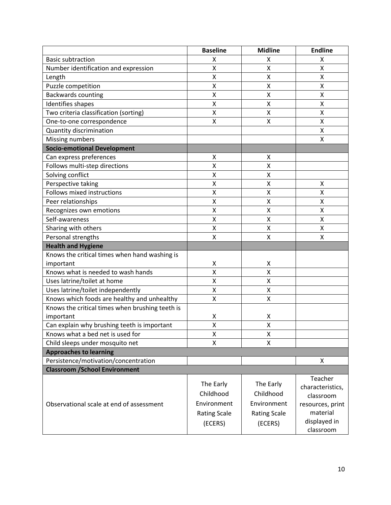|                                                 | <b>Baseline</b>     | <b>Midline</b>      | <b>Endline</b>               |
|-------------------------------------------------|---------------------|---------------------|------------------------------|
| <b>Basic subtraction</b>                        | X                   | X                   | Χ                            |
| Number identification and expression            | Χ                   | Χ                   | Χ                            |
| Length                                          | Χ                   | Χ                   | Χ                            |
| Puzzle competition                              | X                   | X                   | X                            |
| <b>Backwards counting</b>                       | X                   | X                   | X                            |
| Identifies shapes                               | Χ                   | Χ                   | Χ                            |
| Two criteria classification (sorting)           | X                   | Χ                   | Χ                            |
| One-to-one correspondence                       | X                   | X                   | Χ                            |
| Quantity discrimination                         |                     |                     | Χ                            |
| Missing numbers                                 |                     |                     | X                            |
| <b>Socio-emotional Development</b>              |                     |                     |                              |
| Can express preferences                         | x                   | X                   |                              |
| Follows multi-step directions                   | Χ                   | Χ                   |                              |
| Solving conflict                                | X                   | X                   |                              |
| Perspective taking                              | Χ                   | Χ                   | Χ                            |
| Follows mixed instructions                      | X                   | Χ                   | X                            |
| Peer relationships                              | X                   | Χ                   | X                            |
| Recognizes own emotions                         | Χ                   | X                   | X                            |
| Self-awareness                                  | Χ                   | Χ                   | Χ                            |
| Sharing with others                             | Χ                   | Χ                   | Χ                            |
| Personal strengths                              | X                   | X                   | X                            |
| <b>Health and Hygiene</b>                       |                     |                     |                              |
| Knows the critical times when hand washing is   |                     |                     |                              |
| important                                       | Χ                   | Χ                   |                              |
| Knows what is needed to wash hands              | X                   | Χ                   |                              |
| Uses latrine/toilet at home                     | X                   | X                   |                              |
| Uses latrine/toilet independently               | X                   | X                   |                              |
| Knows which foods are healthy and unhealthy     | Χ                   | Χ                   |                              |
| Knows the critical times when brushing teeth is |                     |                     |                              |
| important                                       | Χ                   | Χ                   |                              |
| Can explain why brushing teeth is important     | Χ                   | Χ                   |                              |
| Knows what a bed net is used for                | x                   | x                   |                              |
| Child sleeps under mosquito net                 | X                   | X                   |                              |
| <b>Approaches to learning</b>                   |                     |                     |                              |
| Persistence/motivation/concentration            |                     |                     | X                            |
| <b>Classroom / School Environment</b>           |                     |                     |                              |
|                                                 | The Early           | The Early           | Teacher                      |
|                                                 | Childhood           | Childhood           | characteristics,             |
| Observational scale at end of assessment        | Environment         | Environment         | classroom                    |
|                                                 |                     |                     | resources, print<br>material |
|                                                 | <b>Rating Scale</b> | <b>Rating Scale</b> |                              |
|                                                 | (ECERS)             | (ECERS)             | displayed in<br>classroom    |
|                                                 |                     |                     |                              |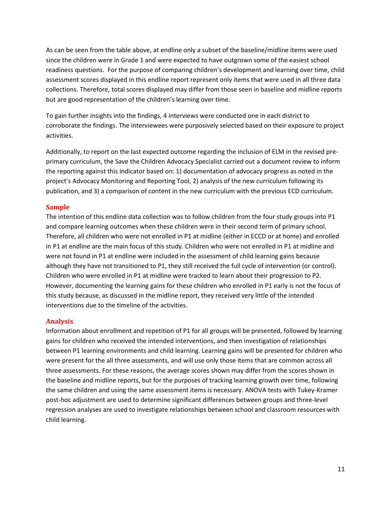As can be seen from the table above, at endline only a subset of the baseline/midline items were used since the children were in Grade 1 and were expected to have outgrown some of the easiest school readiness questions. For the purpose of comparing children's development and learning over time, child assessment scores displayed in this endline report represent only items that were used in all three data collections. Therefore, total scores displayed may differ from those seen in baseline and midline reports but are good representation of the children's learning over time.

To gain further insights into the findings, 4 interviews were conducted one in each district to corroborate the findings. The interviewees were purposively selected based on their exposure to project activities.

Additionally, to report on the last expected outcome regarding the inclusion of ELM in the revised preprimary curriculum, the Save the Children Advocacy Specialist carried out a document review to inform the reporting against this indicator based on: 1) documentation of advocacy progress as noted in the project's Advocacy Monitoring and Reporting Tool, 2) analysis of the new curriculum following its publication, and 3) a comparison of content in the new curriculum with the previous ECD curriculum.

#### <span id="page-10-0"></span>**Sample**

The intention of this endline data collection was to follow children from the four study groups into P1 and compare learning outcomes when these children were in their second term of primary school. Therefore, all children who were not enrolled in P1 at midline (either in ECCD or at home) and enrolled in P1 at endline are the main focus of this study. Children who were not enrolled in P1 at midline and were not found in P1 at endline were included in the assessment of child learning gains because although they have not transitioned to P1, they still received the full cycle of intervention (or control). Children who were enrolled in P1 at midline were tracked to learn about their progression to P2. However, documenting the learning gains for these children who enrolled in P1 early is not the focus of this study because, as discussed in the midline report, they received very little of the intended interventions due to the timeline of the activities.

#### <span id="page-10-1"></span>**Analysis**

Information about enrollment and repetition of P1 for all groups will be presented, followed by learning gains for children who received the intended interventions, and then investigation of relationships between P1 learning environments and child learning. Learning gains will be presented for children who were present for the all three assessments, and will use only those items that are common across all three assessments. For these reasons, the average scores shown may differ from the scores shown in the baseline and midline reports, but for the purposes of tracking learning growth over time, following the same children and using the same assessment items is necessary. ANOVA tests with Tukey-Kramer post-hoc adjustment are used to determine significant differences between groups and three-level regression analyses are used to investigate relationships between school and classroom resources with child learning.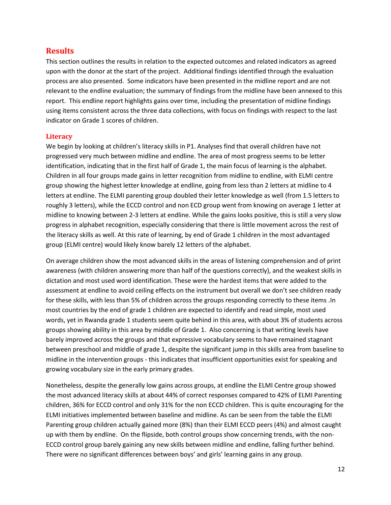## <span id="page-11-0"></span>**Results**

This section outlines the results in relation to the expected outcomes and related indicators as agreed upon with the donor at the start of the project. Additional findings identified through the evaluation process are also presented.Some indicators have been presented in the midline report and are not relevant to the endline evaluation; the summary of findings from the midline have been annexed to this report. This endline report highlights gains over time, including the presentation of midline findings using items consistent across the three data collections, with focus on findings with respect to the last indicator on Grade 1 scores of children.

#### <span id="page-11-1"></span>**Literacy**

We begin by looking at children's literacy skills in P1. Analyses find that overall children have not progressed very much between midline and endline. The area of most progress seems to be letter identification, indicating that in the first half of Grade 1, the main focus of learning is the alphabet. Children in all four groups made gains in letter recognition from midline to endline, with ELMI centre group showing the highest letter knowledge at endline, going from less than 2 letters at midline to 4 letters at endline. The ELMI parenting group doubled their letter knowledge as well (from 1.5 letters to roughly 3 letters), while the ECCD control and non ECD group went from knowing on average 1 letter at midline to knowing between 2-3 letters at endline. While the gains looks positive, this is still a very slow progress in alphabet recognition, especially considering that there is little movement across the rest of the literacy skills as well. At this rate of learning, by end of Grade 1 children in the most advantaged group (ELMI centre) would likely know barely 12 letters of the alphabet.

On average children show the most advanced skills in the areas of listening comprehension and of print awareness (with children answering more than half of the questions correctly), and the weakest skills in dictation and most used word identification. These were the hardest items that were added to the assessment at endline to avoid ceiling effects on the instrument but overall we don't see children ready for these skills, with less than 5% of children across the groups responding correctly to these items .In most countries by the end of grade 1 children are expected to identify and read simple, most used words, yet in Rwanda grade 1 students seem quite behind in this area, with about 3% of students across groups showing ability in this area by middle of Grade 1. Also concerning is that writing levels have barely improved across the groups and that expressive vocabulary seems to have remained stagnant between preschool and middle of grade 1, despite the significant jump in this skills area from baseline to midline in the intervention groups - this indicates that insufficient opportunities exist for speaking and growing vocabulary size in the early primary grades.

Nonetheless, despite the generally low gains across groups, at endline the ELMI Centre group showed the most advanced literacy skills at about 44% of correct responses compared to 42% of ELMI Parenting children, 36% for ECCD control and only 31% for the non ECCD children. This is quite encouraging for the ELMI initiatives implemented between baseline and midline. As can be seen from the table the ELMI Parenting group children actually gained more (8%) than their ELMI ECCD peers (4%) and almost caught up with them by endline. On the flipside, both control groups show concerning trends, with the non-ECCD control group barely gaining any new skills between midline and endline, falling further behind. There were no significant differences between boys' and girls' learning gains in any group.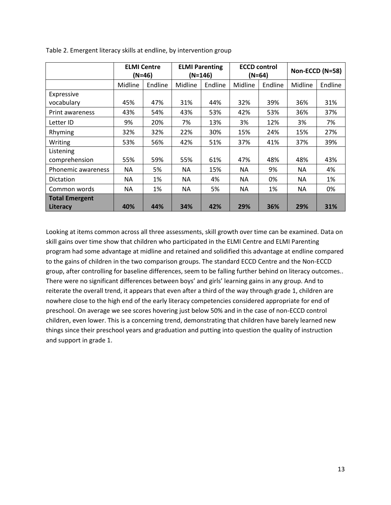|                       | $(N=46)$ | <b>ELMI Centre</b> | <b>ELMI Parenting</b><br>$(N=146)$ |         | <b>ECCD control</b><br>$(N=64)$ |         | Non-ECCD (N=58) |         |
|-----------------------|----------|--------------------|------------------------------------|---------|---------------------------------|---------|-----------------|---------|
|                       | Midline  | Endline            | Midline                            | Endline | Midline                         | Endline | Midline         | Endline |
| Expressive            |          |                    |                                    |         |                                 |         |                 |         |
| vocabulary            | 45%      | 47%                | 31%                                | 44%     | 32%                             | 39%     | 36%             | 31%     |
| Print awareness       | 43%      | 54%                | 43%                                | 53%     | 42%                             | 53%     | 36%             | 37%     |
| Letter ID             | 9%       | 20%                | 7%                                 | 13%     | 3%                              | 12%     | 3%              | 7%      |
| Rhyming               | 32%      | 32%                | 22%                                | 30%     | 15%                             | 24%     | 15%             | 27%     |
| Writing               | 53%      | 56%                | 42%                                | 51%     | 37%                             | 41%     | 37%             | 39%     |
| Listening             |          |                    |                                    |         |                                 |         |                 |         |
| comprehension         | 55%      | 59%                | 55%                                | 61%     | 47%                             | 48%     | 48%             | 43%     |
| Phonemic awareness    | NА       | 5%                 | NA.                                | 15%     | NA.                             | 9%      | <b>NA</b>       | 4%      |
| <b>Dictation</b>      | NА       | 1%                 | NA.                                | 4%      | NA.                             | 0%      | <b>NA</b>       | 1%      |
| Common words          | NA       | 1%                 | NA.                                | 5%      | NA                              | 1%      | NA.             | 0%      |
| <b>Total Emergent</b> |          |                    |                                    |         |                                 |         |                 |         |
| Literacy              | 40%      | 44%                | 34%                                | 42%     | 29%                             | 36%     | 29%             | 31%     |

Table 2. Emergent literacy skills at endline, by intervention group

Looking at items common across all three assessments, skill growth over time can be examined. Data on skill gains over time show that children who participated in the ELMI Centre and ELMI Parenting program had some advantage at midline and retained and solidified this advantage at endline compared to the gains of children in the two comparison groups. The standard ECCD Centre and the Non-ECCD group, after controlling for baseline differences, seem to be falling further behind on literacy outcomes.. There were no significant differences between boys' and girls' learning gains in any group. And to reiterate the overall trend, it appears that even after a third of the way through grade 1, children are nowhere close to the high end of the early literacy competencies considered appropriate for end of preschool. On average we see scores hovering just below 50% and in the case of non-ECCD control children, even lower. This is a concerning trend, demonstrating that children have barely learned new things since their preschool years and graduation and putting into question the quality of instruction and support in grade 1.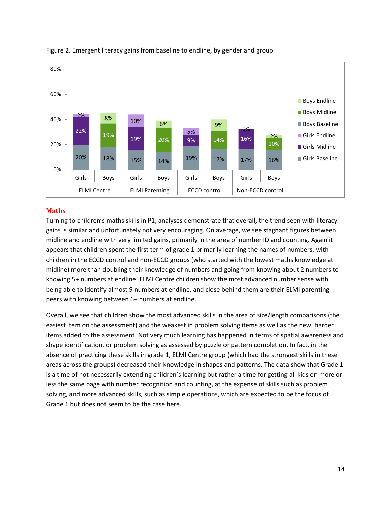

#### Figure 2. Emergent literacy gains from baseline to endline, by gender and group

#### <span id="page-13-0"></span>**Maths**

Turning to children's maths skills in P1, analyses demonstrate that overall, the trend seen with literacy gains is similar and unfortunately not very encouraging. On average, we see stagnant figures between midline and endline with very limited gains, primarily in the area of number ID and counting. Again it appears that children spent the first term of grade 1 primarily learning the names of numbers, with children in the ECCD control and non-ECCD groups (who started with the lowest maths knowledge at midline) more than doubling their knowledge of numbers and going from knowing about 2 numbers to knowing 5+ numbers at endline. ELMI Centre children show the most advanced number sense with being able to identify almost 9 numbers at endline, and close behind them are their ELMI parenting peers with knowing between 6+ numbers at endline.

Overall, we see that children show the most advanced skills in the area of size/length comparisons (the easiest item on the assessment) and the weakest in problem solving items as well as the new, harder items added to the assessment. Not very much learning has happened in terms of spatial awareness and shape identification, or problem solving as assessed by puzzle or pattern completion. In fact, in the absence of practicing these skills in grade 1, ELMI Centre group (which had the strongest skills in these areas across the groups) decreased their knowledge in shapes and patterns. The data show that Grade 1 is a time of not necessarily extending children's learning but rather a time for getting all kids on more or less the same page with number recognition and counting, at the expense of skills such as problem solving, and more advanced skills, such as simple operations, which are expected to be the focus of Grade 1 but does not seem to be the case here.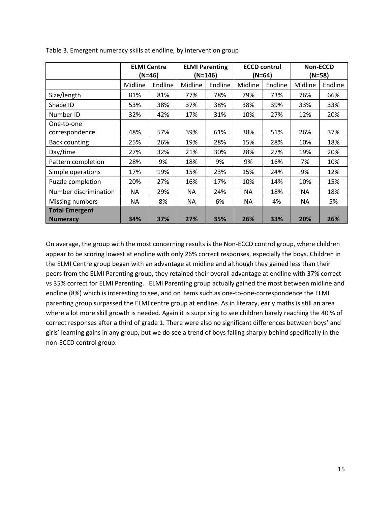|                                          | <b>ELMI Centre</b><br>(N=46) |         | <b>ELMI Parenting</b><br>$(N=146)$ |         | <b>ECCD control</b><br>$(N=64)$ |         | <b>Non-ECCD</b><br>$(N=58)$ |         |
|------------------------------------------|------------------------------|---------|------------------------------------|---------|---------------------------------|---------|-----------------------------|---------|
|                                          | Midline                      | Endline | Midline                            | Endline | Midline                         | Endline | Midline                     | Endline |
| Size/length                              | 81%                          | 81%     | 77%                                | 78%     | 79%                             | 73%     | 76%                         | 66%     |
| Shape ID                                 | 53%                          | 38%     | 37%                                | 38%     | 38%                             | 39%     | 33%                         | 33%     |
| Number ID                                | 32%                          | 42%     | 17%                                | 31%     | 10%                             | 27%     | 12%                         | 20%     |
| One-to-one                               |                              |         |                                    |         |                                 |         |                             |         |
| correspondence                           | 48%                          | 57%     | 39%                                | 61%     | 38%                             | 51%     | 26%                         | 37%     |
| <b>Back counting</b>                     | 25%                          | 26%     | 19%                                | 28%     | 15%                             | 28%     | 10%                         | 18%     |
| Day/time                                 | 27%                          | 32%     | 21%                                | 30%     | 28%                             | 27%     | 19%                         | 20%     |
| Pattern completion                       | 28%                          | 9%      | 18%                                | 9%      | 9%                              | 16%     | 7%                          | 10%     |
| Simple operations                        | 17%                          | 19%     | 15%                                | 23%     | 15%                             | 24%     | 9%                          | 12%     |
| Puzzle completion                        | 20%                          | 27%     | 16%                                | 17%     | 10%                             | 14%     | 10%                         | 15%     |
| Number discrimination                    | ΝA                           | 29%     | ΝA                                 | 24%     | NA                              | 18%     | ΝA                          | 18%     |
| Missing numbers                          | NA.                          | 8%      | NA.                                | 6%      | <b>NA</b>                       | 4%      | <b>NA</b>                   | 5%      |
| <b>Total Emergent</b><br><b>Numeracy</b> | 34%                          | 37%     | 27%                                | 35%     | 26%                             | 33%     | 20%                         | 26%     |

Table 3. Emergent numeracy skills at endline, by intervention group

On average, the group with the most concerning results is the Non-ECCD control group, where children appear to be scoring lowest at endline with only 26% correct responses, especially the boys. Children in the ELMI Centre group began with an advantage at midline and although they gained less than their peers from the ELMI Parenting group, they retained their overall advantage at endline with 37% correct vs 35% correct for ELMI Parenting. ELMI Parenting group actually gained the most between midline and endline (8%) which is interesting to see, and on items such as one-to-one-correspondence the ELMI parenting group surpassed the ELMI centre group at endline. As in literacy, early maths is still an area where a lot more skill growth is needed. Again it is surprising to see children barely reaching the 40 % of correct responses after a third of grade 1. There were also no significant differences between boys' and girls' learning gains in any group, but we do see a trend of boys falling sharply behind specifically in the non-ECCD control group.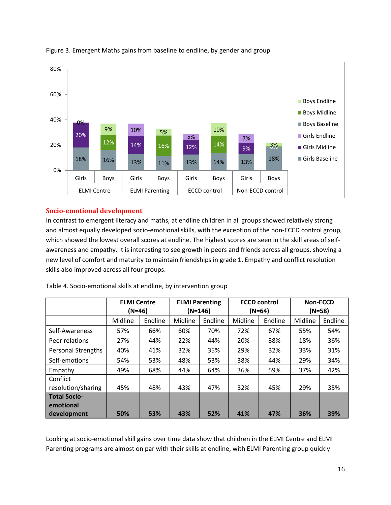

#### Figure 3. Emergent Maths gains from baseline to endline, by gender and group

#### <span id="page-15-0"></span>**Socio-emotional development**

In contrast to emergent literacy and maths, at endline children in all groups showed relatively strong and almost equally developed socio-emotional skills, with the exception of the non-ECCD control group, which showed the lowest overall scores at endline. The highest scores are seen in the skill areas of selfawareness and empathy. It is interesting to see growth in peers and friends across all groups, showing a new level of comfort and maturity to maintain friendships in grade 1. Empathy and conflict resolution skills also improved across all four groups.

|                           | <b>ELMI Centre</b><br>$(N=46)$ |         | <b>ELMI Parenting</b><br>$(N=146)$ |         | <b>ECCD control</b><br>(N=64) |         | <b>Non-ECCD</b><br>$(N=58)$ |         |
|---------------------------|--------------------------------|---------|------------------------------------|---------|-------------------------------|---------|-----------------------------|---------|
|                           | Midline                        | Endline | Midline                            | Endline | Midline                       | Endline | Midline                     | Endline |
| Self-Awareness            | 57%                            | 66%     | 60%                                | 70%     | 72%                           | 67%     | 55%                         | 54%     |
| Peer relations            | 27%                            | 44%     | 22%                                | 44%     | 20%                           | 38%     | 18%                         | 36%     |
| <b>Personal Strengths</b> | 40%                            | 41%     | 32%                                | 35%     | 29%                           | 32%     | 33%                         | 31%     |
| Self-emotions             | 54%                            | 53%     | 48%                                | 53%     | 38%                           | 44%     | 29%                         | 34%     |
| Empathy                   | 49%                            | 68%     | 44%                                | 64%     | 36%                           | 59%     | 37%                         | 42%     |
| Conflict                  |                                |         |                                    |         |                               |         |                             |         |
| resolution/sharing        | 45%                            | 48%     | 43%                                | 47%     | 32%                           | 45%     | 29%                         | 35%     |
| <b>Total Socio-</b>       |                                |         |                                    |         |                               |         |                             |         |
| emotional                 |                                |         |                                    |         |                               |         |                             |         |
| development               | 50%                            | 53%     | 43%                                | 52%     | 41%                           | 47%     | 36%                         | 39%     |

Table 4. Socio-emotional skills at endline, by intervention group

Looking at socio-emotional skill gains over time data show that children in the ELMI Centre and ELMI Parenting programs are almost on par with their skills at endline, with ELMI Parenting group quickly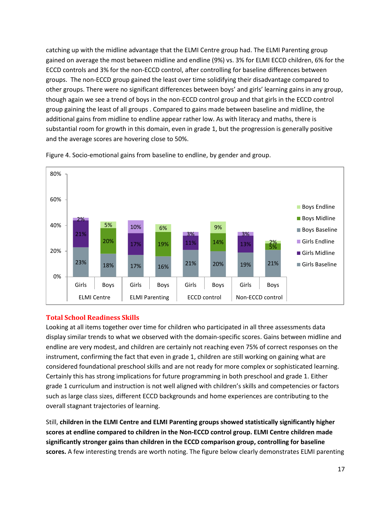catching up with the midline advantage that the ELMI Centre group had. The ELMI Parenting group gained on average the most between midline and endline (9%) vs. 3% for ELMI ECCD children, 6% for the ECCD controls and 3% for the non-ECCD control, after controlling for baseline differences between groups. The non-ECCD group gained the least over time solidifying their disadvantage compared to other groups. There were no significant differences between boys' and girls' learning gains in any group, though again we see a trend of boys in the non-ECCD control group and that girls in the ECCD control group gaining the least of all groups . Compared to gains made between baseline and midline, the additional gains from midline to endline appear rather low. As with literacy and maths, there is substantial room for growth in this domain, even in grade 1, but the progression is generally positive and the average scores are hovering close to 50%.



Figure 4. Socio-emotional gains from baseline to endline, by gender and group.

#### <span id="page-16-0"></span>**Total School Readiness Skills**

Looking at all items together over time for children who participated in all three assessments data display similar trends to what we observed with the domain-specific scores. Gains between midline and endline are very modest, and children are certainly not reaching even 75% of correct responses on the instrument, confirming the fact that even in grade 1, children are still working on gaining what are considered foundational preschool skills and are not ready for more complex or sophisticated learning. Certainly this has strong implications for future programming in both preschool and grade 1. Either grade 1 curriculum and instruction is not well aligned with children's skills and competencies or factors such as large class sizes, different ECCD backgrounds and home experiences are contributing to the overall stagnant trajectories of learning.

Still, **children in the ELMI Centre and ELMI Parenting groups showed statistically significantly higher scores at endline compared to children in the Non-ECCD control group. ELMI Centre children made significantly stronger gains than children in the ECCD comparison group, controlling for baseline scores.** A few interesting trends are worth noting. The figure below clearly demonstrates ELMI parenting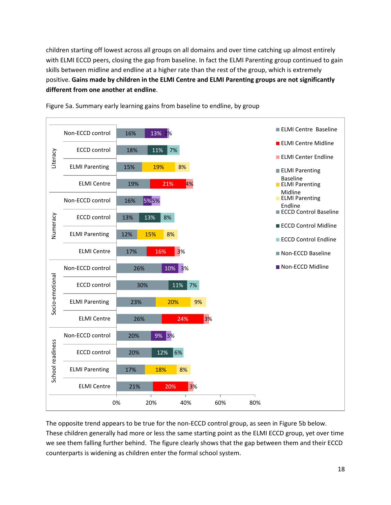children starting off lowest across all groups on all domains and over time catching up almost entirely with ELMI ECCD peers, closing the gap from baseline. In fact the ELMI Parenting group continued to gain skills between midline and endline at a higher rate than the rest of the group, which is extremely positive. **Gains made by children in the ELMI Centre and ELMI Parenting groups are not significantly different from one another at endline**.



Figure 5a. Summary early learning gains from baseline to endline, by group

The opposite trend appears to be true for the non-ECCD control group, as seen in Figure 5b below. These children generally had more or less the same starting point as the ELMI ECCD group, yet over time we see them falling further behind. The figure clearly shows that the gap between them and their ECCD counterparts is widening as children enter the formal school system.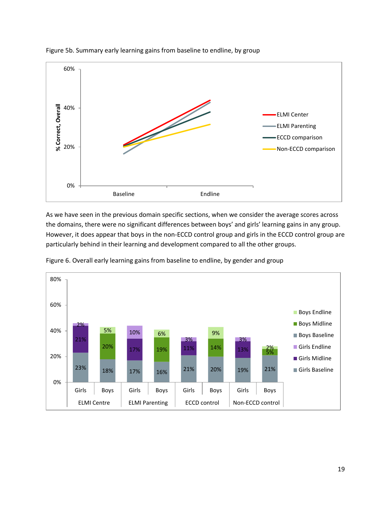

Figure 5b. Summary early learning gains from baseline to endline, by group

As we have seen in the previous domain specific sections, when we consider the average scores across the domains, there were no significant differences between boys' and girls' learning gains in any group. However, it does appear that boys in the non-ECCD control group and girls in the ECCD control group are particularly behind in their learning and development compared to all the other groups.



Figure 6. Overall early learning gains from baseline to endline, by gender and group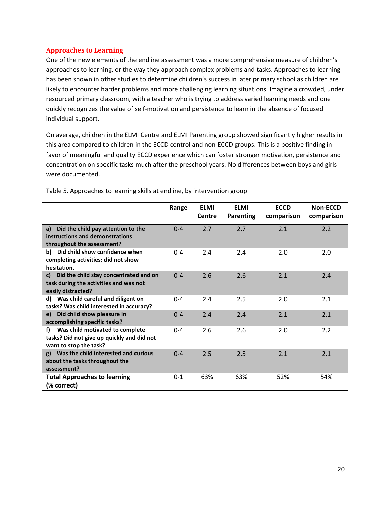#### <span id="page-19-0"></span>**Approaches to Learning**

One of the new elements of the endline assessment was a more comprehensive measure of children's approaches to learning, or the way they approach complex problems and tasks. Approaches to learning has been shown in other studies to determine children's success in later primary school as children are likely to encounter harder problems and more challenging learning situations. Imagine a crowded, under resourced primary classroom, with a teacher who is trying to address varied learning needs and one quickly recognizes the value of self-motivation and persistence to learn in the absence of focused individual support.

On average, children in the ELMI Centre and ELMI Parenting group showed significantly higher results in this area compared to children in the ECCD control and non-ECCD groups. This is a positive finding in favor of meaningful and quality ECCD experience which can foster stronger motivation, persistence and concentration on specific tasks much after the preschool years. No differences between boys and girls were documented.

|                                                                                                               | Range   | <b>ELMI</b><br>Centre | <b>ELMI</b><br><b>Parenting</b> | <b>ECCD</b><br>comparison | <b>Non-ECCD</b><br>comparison |
|---------------------------------------------------------------------------------------------------------------|---------|-----------------------|---------------------------------|---------------------------|-------------------------------|
| Did the child pay attention to the<br>a)<br>instructions and demonstrations<br>throughout the assessment?     | $0 - 4$ | 2.7                   | 2.7                             | 2.1                       | 2.2                           |
| Did child show confidence when<br>b)<br>completing activities; did not show<br>hesitation.                    | $0 - 4$ | 2.4                   | 2.4                             | 2.0                       | 2.0                           |
| Did the child stay concentrated and on<br>c)<br>task during the activities and was not<br>easily distracted?  | $0 - 4$ | 2.6                   | 2.6                             | 2.1                       | 2.4                           |
| Was child careful and diligent on<br>d)<br>tasks? Was child interested in accuracy?                           | $0 - 4$ | 2.4                   | 2.5                             | 2.0                       | 2.1                           |
| Did child show pleasure in<br>e)<br>accomplishing specific tasks?                                             | $0 - 4$ | 2.4                   | 2.4                             | 2.1                       | 2.1                           |
| Was child motivated to complete<br>f)<br>tasks? Did not give up quickly and did not<br>want to stop the task? | $0 - 4$ | 2.6                   | 2.6                             | 2.0                       | 2.2                           |
| Was the child interested and curious<br>g)<br>about the tasks throughout the<br>assessment?                   | $0 - 4$ | 2.5                   | 2.5                             | 2.1                       | 2.1                           |
| <b>Total Approaches to learning</b><br>(% correct)                                                            | $0 - 1$ | 63%                   | 63%                             | 52%                       | 54%                           |

Table 5. Approaches to learning skills at endline, by intervention group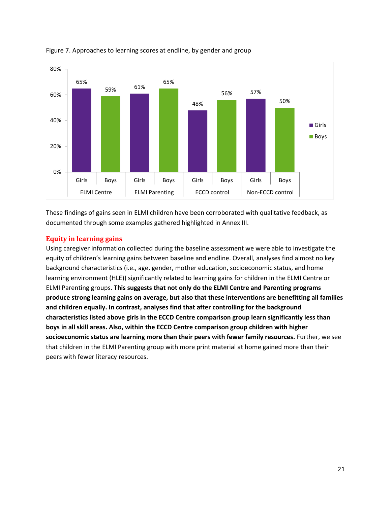



These findings of gains seen in ELMI children have been corroborated with qualitative feedback, as documented through some examples gathered highlighted in Annex III.

#### <span id="page-20-0"></span>**Equity in learning gains**

Using caregiver information collected during the baseline assessment we were able to investigate the equity of children's learning gains between baseline and endline. Overall, analyses find almost no key background characteristics (i.e., age, gender, mother education, socioeconomic status, and home learning environment (HLE)) significantly related to learning gains for children in the ELMI Centre or ELMI Parenting groups. **This suggests that not only do the ELMI Centre and Parenting programs produce strong learning gains on average, but also that these interventions are benefitting all families and children equally. In contrast, analyses find that after controlling for the background characteristics listed above girls in the ECCD Centre comparison group learn significantly less than boys in all skill areas. Also, within the ECCD Centre comparison group children with higher socioeconomic status are learning more than their peers with fewer family resources.** Further, we see that children in the ELMI Parenting group with more print material at home gained more than their peers with fewer literacy resources.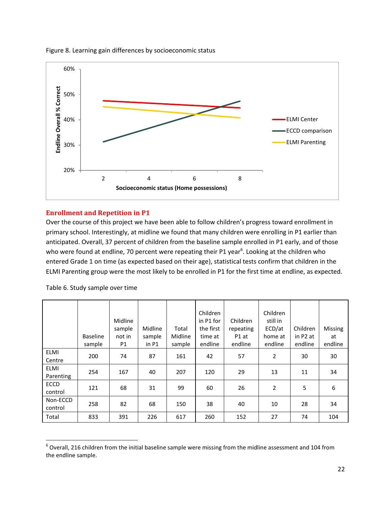

Figure 8. Learning gain differences by socioeconomic status

#### <span id="page-21-0"></span>**Enrollment and Repetition in P1**

Over the course of this project we have been able to follow children's progress toward enrollment in primary school. Interestingly, at midline we found that many children were enrolling in P1 earlier than anticipated. Overall, 37 percent of children from the baseline sample enrolled in P1 early, and of those who were found at endline, 70 percent were repeating their P1 year<sup>6</sup>. Looking at the children who entered Grade 1 on time (as expected based on their age), statistical tests confirm that children in the ELMI Parenting group were the most likely to be enrolled in P1 for the first time at endline, as expected.

|                          | <b>Baseline</b><br>sample | Midline<br>sample<br>not in<br>P1 | Midline<br>sample<br>in P1 | Total<br>Midline<br>sample | Children<br>in P1 for<br>the first<br>time at<br>endline | Children<br>repeating<br>P1 at<br>endline | Children<br>still in<br>ECD/at<br>home at<br>endline | Children<br>in P <sub>2</sub> at<br>endline | Missing<br>at<br>endline |
|--------------------------|---------------------------|-----------------------------------|----------------------------|----------------------------|----------------------------------------------------------|-------------------------------------------|------------------------------------------------------|---------------------------------------------|--------------------------|
| <b>ELMI</b><br>Centre    | 200                       | 74                                | 87                         | 161                        | 42                                                       | 57                                        | 2                                                    | 30                                          | 30                       |
| <b>ELMI</b><br>Parenting | 254                       | 167                               | 40                         | 207                        | 120                                                      | 29                                        | 13                                                   | 11                                          | 34                       |
| <b>ECCD</b><br>control   | 121                       | 68                                | 31                         | 99                         | 60                                                       | 26                                        | $\overline{2}$                                       | 5                                           | 6                        |
| Non-ECCD<br>control      | 258                       | 82                                | 68                         | 150                        | 38                                                       | 40                                        | 10                                                   | 28                                          | 34                       |
| Total                    | 833                       | 391                               | 226                        | 617                        | 260                                                      | 152                                       | 27                                                   | 74                                          | 104                      |

Table 6. Study sample over time

 $6$  Overall, 216 children from the initial baseline sample were missing from the midline assessment and 104 from the endline sample.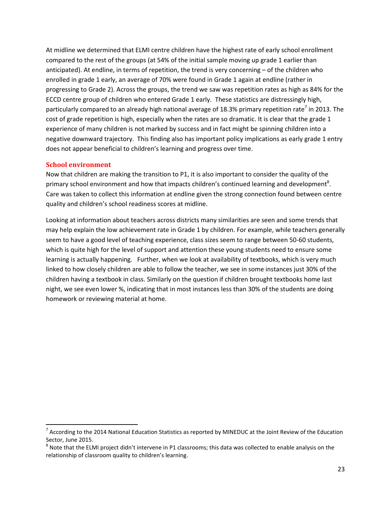At midline we determined that ELMI centre children have the highest rate of early school enrollment compared to the rest of the groups (at 54% of the initial sample moving up grade 1 earlier than anticipated). At endline, in terms of repetition, the trend is very concerning – of the children who enrolled in grade 1 early, an average of 70% were found in Grade 1 again at endline (rather in progressing to Grade 2). Across the groups, the trend we saw was repetition rates as high as 84% for the ECCD centre group of children who entered Grade 1 early. These statistics are distressingly high, particularly compared to an already high national average of 18.3% primary repetition rate<sup>7</sup> in 2013. The cost of grade repetition is high, especially when the rates are so dramatic. It is clear that the grade 1 experience of many children is not marked by success and in fact might be spinning children into a negative downward trajectory. This finding also has important policy implications as early grade 1 entry does not appear beneficial to children's learning and progress over time.

#### <span id="page-22-0"></span>**School environment**

Now that children are making the transition to P1, it is also important to consider the quality of the primary school environment and how that impacts children's continued learning and development<sup>8</sup>. Care was taken to collect this information at endline given the strong connection found between centre quality and children's school readiness scores at midline.

Looking at information about teachers across districts many similarities are seen and some trends that may help explain the low achievement rate in Grade 1 by children. For example, while teachers generally seem to have a good level of teaching experience, class sizes seem to range between 50-60 students, which is quite high for the level of support and attention these young students need to ensure some learning is actually happening. Further, when we look at availability of textbooks, which is very much linked to how closely children are able to follow the teacher, we see in some instances just 30% of the children having a textbook in class. Similarly on the question if children brought textbooks home last night, we see even lower %, indicating that in most instances less than 30% of the students are doing homework or reviewing material at home.

 $^7$  According to the 2014 National Education Statistics as reported by MINEDUC at the Joint Review of the Education Sector, June 2015.

 $8$  Note that the ELMI project didn't intervene in P1 classrooms; this data was collected to enable analysis on the relationship of classroom quality to children's learning.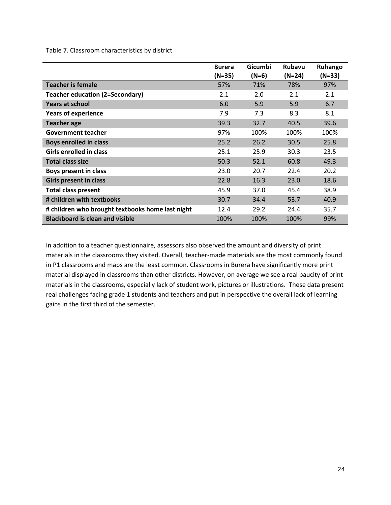Table 7. Classroom characteristics by district

|                                                  | <b>Burera</b><br>$(N=35)$ | Gicumbi<br>$(N=6)$ | <b>Rubavu</b><br>$(N=24)$ | Ruhango<br>$(N=33)$ |
|--------------------------------------------------|---------------------------|--------------------|---------------------------|---------------------|
| <b>Teacher is female</b>                         | 57%                       | 71%                | 78%                       | 97%                 |
| <b>Teacher education (2=Secondary)</b>           | 2.1                       | 2.0                | 2.1                       | 2.1                 |
| <b>Years at school</b>                           | 6.0                       | 5.9                | 5.9                       | 6.7                 |
| <b>Years of experience</b>                       | 7.9                       | 7.3                | 8.3                       | 8.1                 |
| <b>Teacher age</b>                               | 39.3                      | 32.7               | 40.5                      | 39.6                |
| <b>Government teacher</b>                        | 97%                       | 100%               | 100%                      | 100%                |
| <b>Boys enrolled in class</b>                    | 25.2                      | 26.2               | 30.5                      | 25.8                |
| <b>Girls enrolled in class</b>                   | 25.1                      | 25.9               | 30.3                      | 23.5                |
| <b>Total class size</b>                          | 50.3                      | 52.1               | 60.8                      | 49.3                |
| Boys present in class                            | 23.0                      | 20.7               | 22.4                      | 20.2                |
| <b>Girls present in class</b>                    | 22.8                      | 16.3               | 23.0                      | 18.6                |
| <b>Total class present</b>                       | 45.9                      | 37.0               | 45.4                      | 38.9                |
| # children with textbooks                        | 30.7                      | 34.4               | 53.7                      | 40.9                |
| # children who brought textbooks home last night | 12.4                      | 29.2               | 24.4                      | 35.7                |
| <b>Blackboard is clean and visible</b>           | 100%                      | 100%               | 100%                      | 99%                 |

In addition to a teacher questionnaire, assessors also observed the amount and diversity of print materials in the classrooms they visited. Overall, teacher-made materials are the most commonly found in P1 classrooms and maps are the least common. Classrooms in Burera have significantly more print material displayed in classrooms than other districts. However, on average we see a real paucity of print materials in the classrooms, especially lack of student work, pictures or illustrations. These data present real challenges facing grade 1 students and teachers and put in perspective the overall lack of learning gains in the first third of the semester.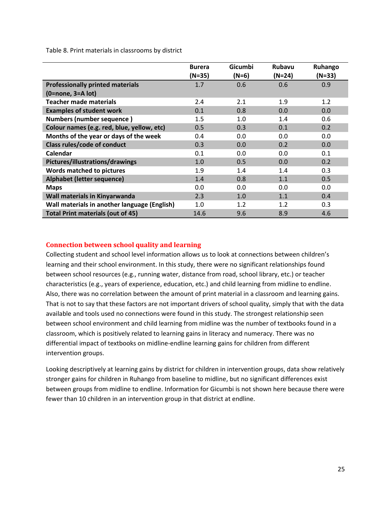Table 8. Print materials in classrooms by district

|                                              | <b>Burera</b> | Gicumbi | <b>Rubavu</b> | Ruhango<br>$(N=33)$ |
|----------------------------------------------|---------------|---------|---------------|---------------------|
|                                              | $(N=35)$      | $(N=6)$ | $(N=24)$      |                     |
| <b>Professionally printed materials</b>      | 1.7           | 0.6     | 0.6           | 0.9                 |
| $(0 = none, 3 = A lot)$                      |               |         |               |                     |
| Teacher made materials                       | 2.4           | 2.1     | 1.9           | 1.2                 |
| <b>Examples of student work</b>              | 0.1           | 0.8     | 0.0           | 0.0                 |
| <b>Numbers (number sequence)</b>             | 1.5           | 1.0     | 1.4           | 0.6                 |
| Colour names (e.g. red, blue, yellow, etc)   | 0.5           | 0.3     | 0.1           | 0.2                 |
| Months of the year or days of the week       | 0.4           | 0.0     | 0.0           | 0.0                 |
| Class rules/code of conduct                  | 0.3           | 0.0     | 0.2           | 0.0                 |
| Calendar                                     | 0.1           | 0.0     | 0.0           | 0.1                 |
| Pictures/illustrations/drawings              | 1.0           | 0.5     | 0.0           | 0.2                 |
| Words matched to pictures                    | 1.9           | 1.4     | 1.4           | 0.3                 |
| Alphabet (letter sequence)                   | 1.4           | 0.8     | 1.1           | 0.5                 |
| <b>Maps</b>                                  | 0.0           | 0.0     | 0.0           | 0.0                 |
| Wall materials in Kinyarwanda                | 2.3           | 1.0     | 1.1           | 0.4                 |
| Wall materials in another language (English) | 1.0           | 1.2     | 1.2           | 0.3                 |
| <b>Total Print materials (out of 45)</b>     | 14.6          | 9.6     | 8.9           | 4.6                 |

#### <span id="page-24-0"></span>**Connection between school quality and learning**

Collecting student and school level information allows us to look at connections between children's learning and their school environment. In this study, there were no significant relationships found between school resources (e.g., running water, distance from road, school library, etc.) or teacher characteristics (e.g., years of experience, education, etc.) and child learning from midline to endline. Also, there was no correlation between the amount of print material in a classroom and learning gains. That is not to say that these factors are not important drivers of school quality, simply that with the data available and tools used no connections were found in this study. The strongest relationship seen between school environment and child learning from midline was the number of textbooks found in a classroom, which is positively related to learning gains in literacy and numeracy. There was no differential impact of textbooks on midline-endline learning gains for children from different intervention groups.

Looking descriptively at learning gains by district for children in intervention groups, data show relatively stronger gains for children in Ruhango from baseline to midline, but no significant differences exist between groups from midline to endline. Information for Gicumbi is not shown here because there were fewer than 10 children in an intervention group in that district at endline.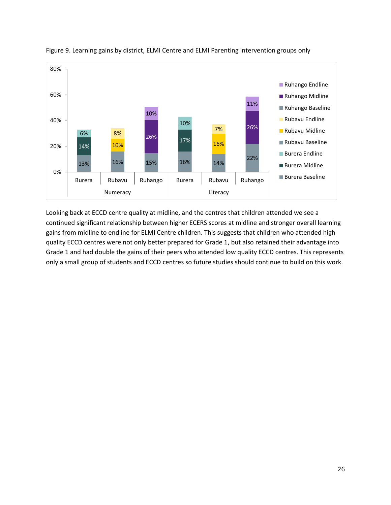



Looking back at ECCD centre quality at midline, and the centres that children attended we see a continued significant relationship between higher ECERS scores at midline and stronger overall learning gains from midline to endline for ELMI Centre children. This suggests that children who attended high quality ECCD centres were not only better prepared for Grade 1, but also retained their advantage into Grade 1 and had double the gains of their peers who attended low quality ECCD centres. This represents only a small group of students and ECCD centres so future studies should continue to build on this work.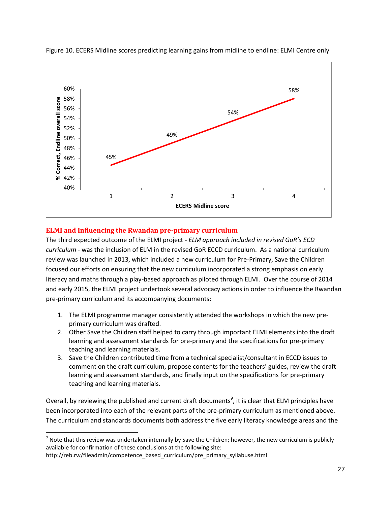

Figure 10. ECERS Midline scores predicting learning gains from midline to endline: ELMI Centre only

#### <span id="page-26-0"></span>**ELMI and Influencing the Rwandan pre-primary curriculum**

The third expected outcome of the ELMI project - *ELM approach included in revised GoR's ECD curriculum* - was the inclusion of ELM in the revised GoR ECCD curriculum. As a national curriculum review was launched in 2013, which included a new curriculum for Pre-Primary, Save the Children focused our efforts on ensuring that the new curriculum incorporated a strong emphasis on early literacy and maths through a play-based approach as piloted through ELMI. Over the course of 2014 and early 2015, the ELMI project undertook several advocacy actions in order to influence the Rwandan pre-primary curriculum and its accompanying documents:

- 1. The ELMI programme manager consistently attended the workshops in which the new preprimary curriculum was drafted.
- 2. Other Save the Children staff helped to carry through important ELMI elements into the draft learning and assessment standards for pre-primary and the specifications for pre-primary teaching and learning materials.
- 3. Save the Children contributed time from a technical specialist/consultant in ECCD issues to comment on the draft curriculum, propose contents for the teachers' guides, review the draft learning and assessment standards, and finally input on the specifications for pre-primary teaching and learning materials.

Overall, by reviewing the published and current draft documents<sup>9</sup>, it is clear that ELM principles have been incorporated into each of the relevant parts of the pre-primary curriculum as mentioned above. The curriculum and standards documents both address the five early literacy knowledge areas and the

 $9$  Note that this review was undertaken internally by Save the Children; however, the new curriculum is publicly available for confirmation of these conclusions at the following site:

http://reb.rw/fileadmin/competence\_based\_curriculum/pre\_primary\_syllabuse.html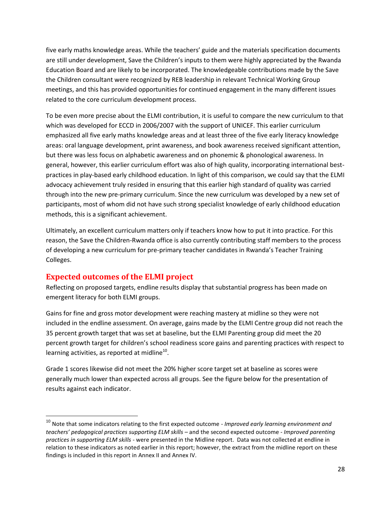five early maths knowledge areas. While the teachers' guide and the materials specification documents are still under development, Save the Children's inputs to them were highly appreciated by the Rwanda Education Board and are likely to be incorporated. The knowledgeable contributions made by the Save the Children consultant were recognized by REB leadership in relevant Technical Working Group meetings, and this has provided opportunities for continued engagement in the many different issues related to the core curriculum development process.

To be even more precise about the ELMI contribution, it is useful to compare the new curriculum to that which was developed for ECCD in 2006/2007 with the support of UNICEF. This earlier curriculum emphasized all five early maths knowledge areas and at least three of the five early literacy knowledge areas: oral language development, print awareness, and book awareness received significant attention, but there was less focus on alphabetic awareness and on phonemic & phonological awareness. In general, however, this earlier curriculum effort was also of high quality, incorporating international bestpractices in play-based early childhood education. In light of this comparison, we could say that the ELMI advocacy achievement truly resided in ensuring that this earlier high standard of quality was carried through into the new pre-primary curriculum. Since the new curriculum was developed by a new set of participants, most of whom did not have such strong specialist knowledge of early childhood education methods, this is a significant achievement.

Ultimately, an excellent curriculum matters only if teachers know how to put it into practice. For this reason, the Save the Children-Rwanda office is also currently contributing staff members to the process of developing a new curriculum for pre-primary teacher candidates in Rwanda's Teacher Training Colleges.

# <span id="page-27-0"></span>**Expected outcomes of the ELMI project**

Reflecting on proposed targets, endline results display that substantial progress has been made on emergent literacy for both ELMI groups.

Gains for fine and gross motor development were reaching mastery at midline so they were not included in the endline assessment. On average, gains made by the ELMI Centre group did not reach the 35 percent growth target that was set at baseline, but the ELMI Parenting group did meet the 20 percent growth target for children's school readiness score gains and parenting practices with respect to learning activities, as reported at midline $^{10}$ .

Grade 1 scores likewise did not meet the 20% higher score target set at baseline as scores were generally much lower than expected across all groups. See the figure below for the presentation of results against each indicator.

 <sup>10</sup> Note that some indicators relating to the first expected outcome - *Improved early learning environment and teachers' pedagogical practices supporting ELM skills –* and the second expected outcome - *Improved parenting practices in supporting ELM skills -* were presented in the Midline report. Data was not collected at endline in relation to these indicators as noted earlier in this report; however, the extract from the midline report on these findings is included in this report in Annex II and Annex IV.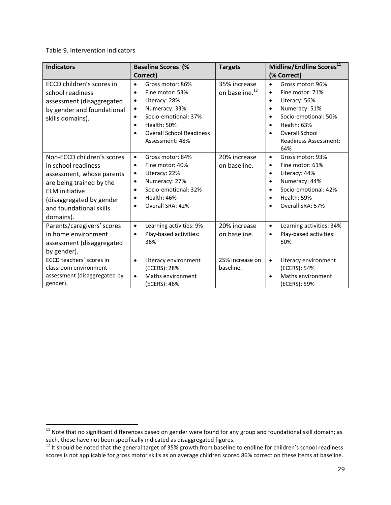#### Table 9. Intervention indicators

| <b>Indicators</b>                                                                                                                                                                                       | <b>Baseline Scores (%</b>                                                                                                                                                                                                                     | <b>Targets</b>                             | Midline/Endline Scores <sup>11</sup>                                                                                                                                                                                                                       |
|---------------------------------------------------------------------------------------------------------------------------------------------------------------------------------------------------------|-----------------------------------------------------------------------------------------------------------------------------------------------------------------------------------------------------------------------------------------------|--------------------------------------------|------------------------------------------------------------------------------------------------------------------------------------------------------------------------------------------------------------------------------------------------------------|
|                                                                                                                                                                                                         | Correct)                                                                                                                                                                                                                                      |                                            | (% Correct)                                                                                                                                                                                                                                                |
| ECCD children's scores in<br>school readiness<br>assessment (disaggregated<br>by gender and foundational<br>skills domains).                                                                            | Gross motor: 86%<br>$\bullet$<br>Fine motor: 53%<br>$\bullet$<br>Literacy: 28%<br>٠<br>Numeracy: 33%<br>$\bullet$<br>Socio-emotional: 37%<br>$\bullet$<br>Health: 50%<br>٠<br><b>Overall School Readiness</b><br>$\bullet$<br>Assessment: 48% | 35% increase<br>on baseline. <sup>12</sup> | Gross motor: 96%<br>$\bullet$<br>Fine motor: 71%<br>$\bullet$<br>Literacy: 56%<br>$\bullet$<br>Numeracy: 51%<br>$\bullet$<br>Socio-emotional: 50%<br>Health: 63%<br>$\bullet$<br><b>Overall School</b><br>$\bullet$<br><b>Readiness Assessment:</b><br>64% |
| Non-ECCD children's scores<br>in school readiness<br>assessment, whose parents<br>are being trained by the<br><b>ELM</b> initiative<br>(disaggregated by gender<br>and foundational skills<br>domains). | Gross motor: 84%<br>$\bullet$<br>Fine motor: 40%<br>$\bullet$<br>Literacy: 22%<br>٠<br>Numeracy: 27%<br>٠<br>Socio-emotional: 32%<br>$\bullet$<br>Health: 46%<br>Overall SRA: 42%<br>٠                                                        | 20% increase<br>on baseline.               | Gross motor: 93%<br>$\bullet$<br>Fine motor: 61%<br>$\bullet$<br>Literacy: 44%<br>$\bullet$<br>Numeracy: 44%<br>$\bullet$<br>Socio-emotional: 42%<br>Health: 59%<br>$\bullet$<br>Overall SRA: 57%<br>٠                                                     |
| Parents/caregivers' scores<br>in home environment<br>assessment (disaggregated<br>by gender).                                                                                                           | Learning activities: 9%<br>$\bullet$<br>Play-based activities:<br>$\bullet$<br>36%                                                                                                                                                            | 20% increase<br>on baseline.               | Learning activities: 34%<br>$\bullet$<br>Play-based activities:<br>٠<br>50%                                                                                                                                                                                |
| ECCD teachers' scores in<br>classroom environment<br>assessment (disaggregated by<br>gender).                                                                                                           | Literacy environment<br>$\bullet$<br>(ECERS): 28%<br>Maths environment<br>$\bullet$<br>(ECERS): 46%                                                                                                                                           | 25% increase on<br>baseline.               | Literacy environment<br>$\bullet$<br>(ECERS): 54%<br>Maths environment<br>$\bullet$<br>(ECERS): 59%                                                                                                                                                        |

<sup>&</sup>lt;sup>11</sup> Note that no significant differences based on gender were found for any group and foundational skill domain; as such, these have not been specifically indicated as disaggregated figures.<br><sup>12</sup> It should be noted that the general target of 35% growth from baseline to endline for children's school readiness

scores is not applicable for gross motor skills as on average children scored 86% correct on these items at baseline.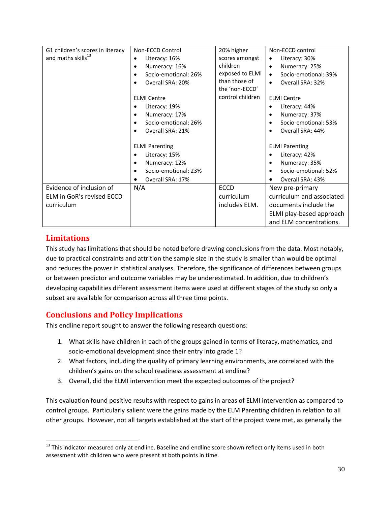|                                | Non-ECCD Control                  | 20% higher       | Non-ECCD control                                    |  |  |
|--------------------------------|-----------------------------------|------------------|-----------------------------------------------------|--|--|
| and maths skills <sup>13</sup> | Literacy: 16%<br>$\bullet$        | scores amongst   | Literacy: 30%<br>$\bullet$                          |  |  |
|                                | Numeracy: 16%<br>٠                | children         | Numeracy: 25%<br>$\bullet$                          |  |  |
|                                | Socio-emotional: 26%              | exposed to ELMI  | Socio-emotional: 39%<br>$\bullet$                   |  |  |
|                                | Overall SRA: 20%<br>$\bullet$     | than those of    | Overall SRA: 32%<br>$\bullet$                       |  |  |
|                                |                                   | the 'non-ECCD'   |                                                     |  |  |
|                                | <b>ELMI Centre</b>                | control children | <b>ELMI Centre</b>                                  |  |  |
|                                | Literacy: 19%                     |                  | Literacy: 44%<br>$\bullet$                          |  |  |
|                                | Numeracy: 17%<br>$\bullet$        |                  | Numeracy: 37%<br>$\bullet$                          |  |  |
|                                | Socio-emotional: 26%<br>$\bullet$ |                  | Socio-emotional: 53%                                |  |  |
|                                | Overall SRA: 21%<br>$\bullet$     |                  | Overall SRA: 44%                                    |  |  |
|                                |                                   |                  |                                                     |  |  |
|                                | <b>ELMI Parenting</b>             |                  | <b>ELMI Parenting</b>                               |  |  |
|                                | Literacy: 15%                     |                  | Literacy: 42%                                       |  |  |
|                                | Numeracy: 12%<br>$\bullet$        |                  | Numeracy: 35%<br>$\bullet$                          |  |  |
|                                | Socio-emotional: 23%<br>$\bullet$ |                  | Socio-emotional: 52%                                |  |  |
|                                | Overall SRA: 17%                  |                  | Overall SRA: 43%<br>$\bullet$                       |  |  |
| Evidence of inclusion of       | N/A                               | <b>ECCD</b>      | New pre-primary                                     |  |  |
| ELM in GoR's revised ECCD      |                                   | curriculum       | curriculum and associated                           |  |  |
|                                |                                   | includes ELM.    | documents include the                               |  |  |
|                                |                                   |                  |                                                     |  |  |
|                                |                                   |                  |                                                     |  |  |
| curriculum                     |                                   |                  | ELMI play-based approach<br>and ELM concentrations. |  |  |

# <span id="page-29-0"></span>**Limitations**

This study has limitations that should be noted before drawing conclusions from the data. Most notably, due to practical constraints and attrition the sample size in the study is smaller than would be optimal and reduces the power in statistical analyses. Therefore, the significance of differences between groups or between predictor and outcome variables may be underestimated. In addition, due to children's developing capabilities different assessment items were used at different stages of the study so only a subset are available for comparison across all three time points.

# <span id="page-29-1"></span>**Conclusions and Policy Implications**

This endline report sought to answer the following research questions:

- 1. What skills have children in each of the groups gained in terms of literacy, mathematics, and socio-emotional development since their entry into grade 1?
- 2. What factors, including the quality of primary learning environments, are correlated with the children's gains on the school readiness assessment at endline?
- 3. Overall, did the ELMI intervention meet the expected outcomes of the project?

This evaluation found positive results with respect to gains in areas of ELMI intervention as compared to control groups. Particularly salient were the gains made by the ELM Parenting children in relation to all other groups. However, not all targets established at the start of the project were met, as generally the

<sup>&</sup>lt;sup>13</sup> This indicator measured only at endline. Baseline and endline score shown reflect only items used in both assessment with children who were present at both points in time.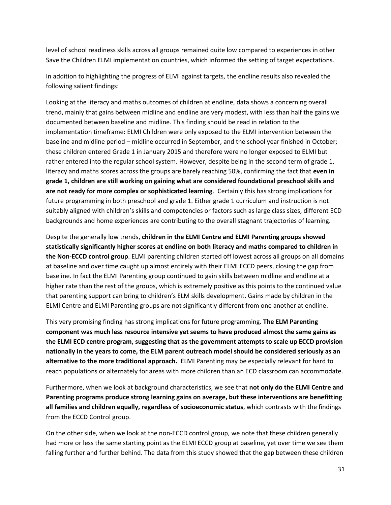level of school readiness skills across all groups remained quite low compared to experiences in other Save the Children ELMI implementation countries, which informed the setting of target expectations.

In addition to highlighting the progress of ELMI against targets, the endline results also revealed the following salient findings:

Looking at the literacy and maths outcomes of children at endline, data shows a concerning overall trend, mainly that gains between midline and endline are very modest, with less than half the gains we documented between baseline and midline. This finding should be read in relation to the implementation timeframe: ELMI Children were only exposed to the ELMI intervention between the baseline and midline period – midline occurred in September, and the school year finished in October; these children entered Grade 1 in January 2015 and therefore were no longer exposed to ELMI but rather entered into the regular school system. However, despite being in the second term of grade 1, literacy and maths scores across the groups are barely reaching 50%, confirming the fact that **even in grade 1, children are still working on gaining what are considered foundational preschool skills and are not ready for more complex or sophisticated learning**. Certainly this has strong implications for future programming in both preschool and grade 1. Either grade 1 curriculum and instruction is not suitably aligned with children's skills and competencies or factors such as large class sizes, different ECD backgrounds and home experiences are contributing to the overall stagnant trajectories of learning.

Despite the generally low trends, **children in the ELMI Centre and ELMI Parenting groups showed statistically significantly higher scores at endline on both literacy and maths compared to children in the Non-ECCD control group**. ELMI parenting children started off lowest across all groups on all domains at baseline and over time caught up almost entirely with their ELMI ECCD peers, closing the gap from baseline. In fact the ELMI Parenting group continued to gain skills between midline and endline at a higher rate than the rest of the groups, which is extremely positive as this points to the continued value that parenting support can bring to children's ELM skills development. Gains made by children in the ELMI Centre and ELMI Parenting groups are not significantly different from one another at endline.

This very promising finding has strong implications for future programming. **The ELM Parenting component was much less resource intensive yet seems to have produced almost the same gains as the ELMI ECD centre program, suggesting that as the government attempts to scale up ECCD provision nationally in the years to come, the ELM parent outreach model should be considered seriously as an alternative to the more traditional approach.** ELMI Parenting may be especially relevant for hard to reach populations or alternately for areas with more children than an ECD classroom can accommodate.

Furthermore, when we look at background characteristics, we see that **not only do the ELMI Centre and Parenting programs produce strong learning gains on average, but these interventions are benefitting all families and children equally, regardless of socioeconomic status**, which contrasts with the findings from the ECCD Control group.

On the other side, when we look at the non-ECCD control group, we note that these children generally had more or less the same starting point as the ELMI ECCD group at baseline, yet over time we see them falling further and further behind. The data from this study showed that the gap between these children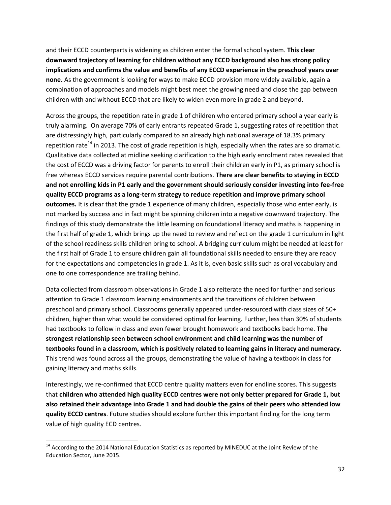and their ECCD counterparts is widening as children enter the formal school system. **This clear downward trajectory of learning for children without any ECCD background also has strong policy implications and confirms the value and benefits of any ECCD experience in the preschool years over none.** As the government is looking for ways to make ECCD provision more widely available, again a combination of approaches and models might best meet the growing need and close the gap between children with and without ECCD that are likely to widen even more in grade 2 and beyond.

Across the groups, the repetition rate in grade 1 of children who entered primary school a year early is truly alarming. On average 70% of early entrants repeated Grade 1, suggesting rates of repetition that are distressingly high, particularly compared to an already high national average of 18.3% primary repetition rate<sup>14</sup> in 2013. The cost of grade repetition is high, especially when the rates are so dramatic. Qualitative data collected at midline seeking clarification to the high early enrolment rates revealed that the cost of ECCD was a driving factor for parents to enroll their children early in P1, as primary school is free whereas ECCD services require parental contributions. **There are clear benefits to staying in ECCD and not enrolling kids in P1 early and the government should seriously consider investing into fee-free quality ECCD programs as a long-term strategy to reduce repetition and improve primary school outcomes.** It is clear that the grade 1 experience of many children, especially those who enter early, is not marked by success and in fact might be spinning children into a negative downward trajectory. The findings of this study demonstrate the little learning on foundational literacy and maths is happening in the first half of grade 1, which brings up the need to review and reflect on the grade 1 curriculum in light of the school readiness skills children bring to school. A bridging curriculum might be needed at least for the first half of Grade 1 to ensure children gain all foundational skills needed to ensure they are ready for the expectations and competencies in grade 1. As it is, even basic skills such as oral vocabulary and one to one correspondence are trailing behind.

Data collected from classroom observations in Grade 1 also reiterate the need for further and serious attention to Grade 1 classroom learning environments and the transitions of children between preschool and primary school. Classrooms generally appeared under-resourced with class sizes of 50+ children, higher than what would be considered optimal for learning. Further, less than 30% of students had textbooks to follow in class and even fewer brought homework and textbooks back home. **The strongest relationship seen between school environment and child learning was the number of textbooks found in a classroom, which is positively related to learning gains in literacy and numeracy.**  This trend was found across all the groups, demonstrating the value of having a textbook in class for gaining literacy and maths skills.

Interestingly, we re-confirmed that ECCD centre quality matters even for endline scores. This suggests that **children who attended high quality ECCD centres were not only better prepared for Grade 1, but also retained their advantage into Grade 1 and had double the gains of their peers who attended low quality ECCD centres**. Future studies should explore further this important finding for the long term value of high quality ECD centres.

<sup>&</sup>lt;sup>14</sup> According to the 2014 National Education Statistics as reported by MINEDUC at the Joint Review of the Education Sector, June 2015.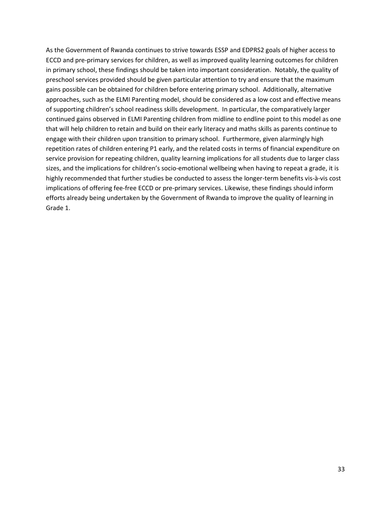As the Government of Rwanda continues to strive towards ESSP and EDPRS2 goals of higher access to ECCD and pre-primary services for children, as well as improved quality learning outcomes for children in primary school, these findings should be taken into important consideration. Notably, the quality of preschool services provided should be given particular attention to try and ensure that the maximum gains possible can be obtained for children before entering primary school. Additionally, alternative approaches, such as the ELMI Parenting model, should be considered as a low cost and effective means of supporting children's school readiness skills development. In particular, the comparatively larger continued gains observed in ELMI Parenting children from midline to endline point to this model as one that will help children to retain and build on their early literacy and maths skills as parents continue to engage with their children upon transition to primary school. Furthermore, given alarmingly high repetition rates of children entering P1 early, and the related costs in terms of financial expenditure on service provision for repeating children, quality learning implications for all students due to larger class sizes, and the implications for children's socio-emotional wellbeing when having to repeat a grade, it is highly recommended that further studies be conducted to assess the longer-term benefits vis-à-vis cost implications of offering fee-free ECCD or pre-primary services. Likewise, these findings should inform efforts already being undertaken by the Government of Rwanda to improve the quality of learning in Grade 1.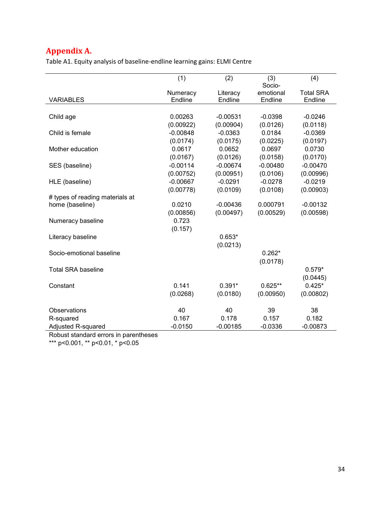# <span id="page-33-0"></span>**Appendix A.**

Table A1. Equity analysis of baseline-endline learning gains: ELMI Centre

|                                 | (1)        | (2)        | (3)<br>Socio- | (4)              |
|---------------------------------|------------|------------|---------------|------------------|
|                                 | Numeracy   | Literacy   | emotional     | <b>Total SRA</b> |
| <b>VARIABLES</b>                | Endline    | Endline    | Endline       | Endline          |
|                                 |            |            |               |                  |
| Child age                       | 0.00263    | $-0.00531$ | $-0.0398$     | $-0.0246$        |
|                                 | (0.00922)  | (0.00904)  | (0.0126)      | (0.0118)         |
| Child is female                 | $-0.00848$ | $-0.0363$  | 0.0184        | $-0.0369$        |
|                                 | (0.0174)   | (0.0175)   | (0.0225)      | (0.0197)         |
| Mother education                | 0.0617     | 0.0652     | 0.0697        | 0.0730           |
|                                 | (0.0167)   | (0.0126)   | (0.0158)      | (0.0170)         |
| SES (baseline)                  | $-0.00114$ | $-0.00674$ | $-0.00480$    | $-0.00470$       |
|                                 | (0.00752)  | (0.00951)  | (0.0106)      | (0.00996)        |
| HLE (baseline)                  | $-0.00667$ | $-0.0291$  | $-0.0278$     | $-0.0219$        |
|                                 | (0.00778)  | (0.0109)   | (0.0108)      | (0.00903)        |
| # types of reading materials at |            |            |               |                  |
| home (baseline)                 | 0.0210     | $-0.00436$ | 0.000791      | $-0.00132$       |
|                                 | (0.00856)  | (0.00497)  | (0.00529)     | (0.00598)        |
| Numeracy baseline               | 0.723      |            |               |                  |
|                                 | (0.157)    |            |               |                  |
| Literacy baseline               |            | $0.653*$   |               |                  |
|                                 |            | (0.0213)   |               |                  |
| Socio-emotional baseline        |            |            | $0.262*$      |                  |
|                                 |            |            | (0.0178)      |                  |
| <b>Total SRA baseline</b>       |            |            |               | $0.579*$         |
|                                 |            |            |               | (0.0445)         |
| Constant                        | 0.141      | $0.391*$   | $0.625**$     | $0.425*$         |
|                                 | (0.0268)   | (0.0180)   | (0.00950)     | (0.00802)        |
| <b>Observations</b>             | 40         | 40         | 39            | 38               |
| R-squared                       | 0.167      | 0.178      | 0.157         | 0.182            |
| Adjusted R-squared              | $-0.0150$  | $-0.00185$ | $-0.0336$     | $-0.00873$       |

Robust standard errors in parentheses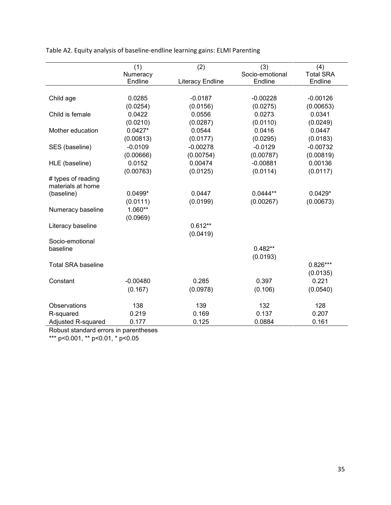|           | (2)                                                                                                               | (3)                                                                                                   | (4)                                                                                                        |
|-----------|-------------------------------------------------------------------------------------------------------------------|-------------------------------------------------------------------------------------------------------|------------------------------------------------------------------------------------------------------------|
| Numeracy  |                                                                                                                   | Socio-emotional                                                                                       | <b>Total SRA</b>                                                                                           |
| Endline   | <b>Literacy Endline</b>                                                                                           | Endline                                                                                               | Endline                                                                                                    |
|           |                                                                                                                   |                                                                                                       |                                                                                                            |
| 0.0285    | $-0.0187$                                                                                                         | $-0.00228$                                                                                            | $-0.00126$                                                                                                 |
|           |                                                                                                                   |                                                                                                       | (0.00653)                                                                                                  |
| 0.0422    | 0.0556                                                                                                            | 0.0273                                                                                                | 0.0341                                                                                                     |
| (0.0210)  | (0.0287)                                                                                                          | (0.0110)                                                                                              | (0.0249)                                                                                                   |
| $0.0427*$ | 0.0544                                                                                                            | 0.0416                                                                                                | 0.0447                                                                                                     |
| (0.00813) | (0.0177)                                                                                                          | (0.0295)                                                                                              | (0.0183)                                                                                                   |
| $-0.0109$ | $-0.00278$                                                                                                        | $-0.0129$                                                                                             | $-0.00732$                                                                                                 |
| (0.00666) | (0.00754)                                                                                                         | (0.00787)                                                                                             | (0.00819)                                                                                                  |
| 0.0152    | 0.00474                                                                                                           | $-0.00881$                                                                                            | 0.00136                                                                                                    |
| (0.00763) | (0.0125)                                                                                                          | (0.0114)                                                                                              | (0.0117)                                                                                                   |
|           |                                                                                                                   |                                                                                                       |                                                                                                            |
|           |                                                                                                                   |                                                                                                       |                                                                                                            |
|           |                                                                                                                   |                                                                                                       | $0.0429*$                                                                                                  |
|           |                                                                                                                   |                                                                                                       | (0.00673)                                                                                                  |
|           |                                                                                                                   |                                                                                                       |                                                                                                            |
|           |                                                                                                                   |                                                                                                       |                                                                                                            |
|           |                                                                                                                   |                                                                                                       |                                                                                                            |
|           |                                                                                                                   |                                                                                                       |                                                                                                            |
|           |                                                                                                                   |                                                                                                       |                                                                                                            |
|           |                                                                                                                   |                                                                                                       |                                                                                                            |
|           |                                                                                                                   |                                                                                                       |                                                                                                            |
|           |                                                                                                                   |                                                                                                       | $0.826***$                                                                                                 |
|           |                                                                                                                   |                                                                                                       | (0.0135)                                                                                                   |
|           |                                                                                                                   |                                                                                                       | 0.221                                                                                                      |
|           |                                                                                                                   |                                                                                                       | (0.0540)                                                                                                   |
|           |                                                                                                                   |                                                                                                       | 128                                                                                                        |
|           |                                                                                                                   |                                                                                                       | 0.207                                                                                                      |
|           |                                                                                                                   |                                                                                                       | 0.161                                                                                                      |
|           | (1)<br>(0.0254)<br>$0.0499*$<br>(0.0111)<br>1.060**<br>(0.0969)<br>$-0.00480$<br>(0.167)<br>138<br>0.219<br>0.177 | (0.0156)<br>0.0447<br>(0.0199)<br>$0.612**$<br>(0.0419)<br>0.285<br>(0.0978)<br>139<br>0.169<br>0.125 | (0.0275)<br>$0.0444**$<br>(0.00267)<br>$0.482**$<br>(0.0193)<br>0.397<br>(0.106)<br>132<br>0.137<br>0.0884 |

Table A2. Equity analysis of baseline-endline learning gains: ELMI Parenting

Robust standard errors in parentheses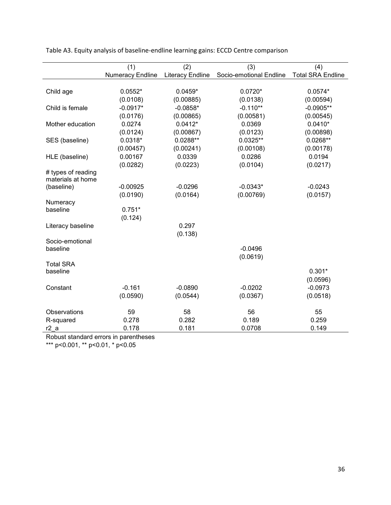|                    | (1)              | (2)                     | (3)                     | (4)                      |
|--------------------|------------------|-------------------------|-------------------------|--------------------------|
|                    | Numeracy Endline | <b>Literacy Endline</b> | Socio-emotional Endline | <b>Total SRA Endline</b> |
|                    |                  |                         |                         |                          |
| Child age          | $0.0552*$        | $0.0459*$               | $0.0720*$               | $0.0574*$                |
|                    | (0.0108)         | (0.00885)               | (0.0138)                | (0.00594)                |
| Child is female    | $-0.0917*$       | $-0.0858*$              | $-0.110**$              | $-0.0905**$              |
|                    | (0.0176)         | (0.00865)               | (0.00581)               | (0.00545)                |
| Mother education   | 0.0274           | $0.0412*$               | 0.0369                  | $0.0410*$                |
|                    | (0.0124)         | (0.00867)               | (0.0123)                | (0.00898)                |
| SES (baseline)     | $0.0318*$        | $0.0288**$              | $0.0325**$              | $0.0268**$               |
|                    | (0.00457)        | (0.00241)               | (0.00108)               | (0.00178)                |
| HLE (baseline)     | 0.00167          | 0.0339                  | 0.0286                  | 0.0194                   |
|                    | (0.0282)         | (0.0223)                | (0.0104)                | (0.0217)                 |
| # types of reading |                  |                         |                         |                          |
| materials at home  |                  |                         |                         |                          |
| (baseline)         | $-0.00925$       | $-0.0296$               | $-0.0343*$              | $-0.0243$                |
|                    | (0.0190)         | (0.0164)                | (0.00769)               | (0.0157)                 |
| Numeracy           | $0.751*$         |                         |                         |                          |
| baseline           |                  |                         |                         |                          |
|                    | (0.124)          |                         |                         |                          |
| Literacy baseline  |                  | 0.297                   |                         |                          |
| Socio-emotional    |                  | (0.138)                 |                         |                          |
| baseline           |                  |                         | $-0.0496$               |                          |
|                    |                  |                         | (0.0619)                |                          |
| <b>Total SRA</b>   |                  |                         |                         |                          |
| baseline           |                  |                         |                         | $0.301*$                 |
|                    |                  |                         |                         | (0.0596)                 |
| Constant           | $-0.161$         | $-0.0890$               | $-0.0202$               | $-0.0973$                |
|                    | (0.0590)         | (0.0544)                | (0.0367)                | (0.0518)                 |
|                    |                  |                         |                         |                          |
| Observations       | 59               | 58                      | 56                      | 55                       |
| R-squared          | 0.278            | 0.282                   | 0.189                   | 0.259                    |
| r2a                | 0.178            | 0.181                   | 0.0708                  | 0.149                    |

Table A3. Equity analysis of baseline-endline learning gains: ECCD Centre comparison

Robust standard errors in parentheses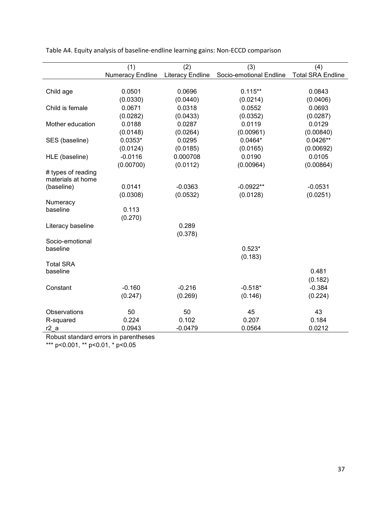|                                         | (1)<br>Numeracy Endline | (2)<br><b>Literacy Endline</b> | (3)<br>Socio-emotional Endline | (4)<br><b>Total SRA Endline</b> |
|-----------------------------------------|-------------------------|--------------------------------|--------------------------------|---------------------------------|
|                                         |                         |                                |                                |                                 |
| Child age                               | 0.0501                  | 0.0696                         | $0.115***$                     | 0.0843                          |
|                                         | (0.0330)                | (0.0440)                       | (0.0214)                       | (0.0406)                        |
| Child is female                         | 0.0671                  | 0.0318                         | 0.0552                         | 0.0693                          |
|                                         | (0.0282)                | (0.0433)                       | (0.0352)                       | (0.0287)                        |
| Mother education                        | 0.0188                  | 0.0287                         | 0.0119                         | 0.0129                          |
|                                         | (0.0148)                | (0.0264)                       | (0.00961)                      | (0.00840)                       |
|                                         | $0.0353*$               | 0.0295                         | $0.0464*$                      | $0.0426**$                      |
| SES (baseline)                          |                         |                                |                                |                                 |
|                                         | (0.0124)                | (0.0185)                       | (0.0165)                       | (0.00692)                       |
| HLE (baseline)                          | $-0.0116$               | 0.000708                       | 0.0190                         | 0.0105                          |
|                                         | (0.00700)               | (0.0112)                       | (0.00964)                      | (0.00864)                       |
| # types of reading<br>materials at home |                         |                                |                                |                                 |
| (baseline)                              | 0.0141                  | $-0.0363$                      | $-0.0922**$                    | $-0.0531$                       |
|                                         | (0.0308)                | (0.0532)                       | (0.0128)                       | (0.0251)                        |
| Numeracy                                |                         |                                |                                |                                 |
| baseline                                | 0.113                   |                                |                                |                                 |
|                                         | (0.270)                 |                                |                                |                                 |
| Literacy baseline                       |                         | 0.289                          |                                |                                 |
|                                         |                         | (0.378)                        |                                |                                 |
| Socio-emotional                         |                         |                                |                                |                                 |
| baseline                                |                         |                                | $0.523*$                       |                                 |
|                                         |                         |                                | (0.183)                        |                                 |
| <b>Total SRA</b>                        |                         |                                |                                |                                 |
| baseline                                |                         |                                |                                | 0.481                           |
|                                         |                         |                                |                                | (0.182)                         |
| Constant                                | $-0.160$                | $-0.216$                       | $-0.518*$                      | $-0.384$                        |
|                                         | (0.247)                 | (0.269)                        | (0.146)                        | (0.224)                         |
|                                         |                         |                                |                                |                                 |
| Observations                            | 50                      | 50                             | 45                             | 43                              |
| R-squared                               | 0.224                   | 0.102                          | 0.207                          | 0.184                           |
| r2a                                     | 0.0943                  | $-0.0479$                      | 0.0564                         | 0.0212                          |

Table A4. Equity analysis of baseline-endline learning gains: Non-ECCD comparison

Robust standard errors in parentheses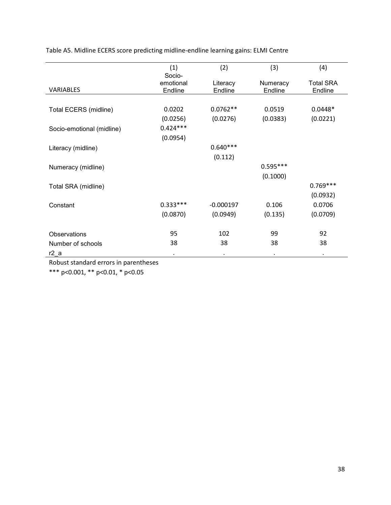|                           | (1)        | (2)         | (3)        | (4)              |
|---------------------------|------------|-------------|------------|------------------|
|                           | Socio-     |             |            |                  |
|                           | emotional  | Literacy    | Numeracy   | <b>Total SRA</b> |
| <b>VARIABLES</b>          | Endline    | Endline     | Endline    | Endline          |
|                           |            |             |            |                  |
| Total ECERS (midline)     | 0.0202     | $0.0762**$  | 0.0519     | $0.0448*$        |
|                           | (0.0256)   | (0.0276)    | (0.0383)   | (0.0221)         |
| Socio-emotional (midline) | $0.424***$ |             |            |                  |
|                           | (0.0954)   |             |            |                  |
| Literacy (midline)        |            | $0.640***$  |            |                  |
|                           |            | (0.112)     |            |                  |
| Numeracy (midline)        |            |             | $0.595***$ |                  |
|                           |            |             | (0.1000)   |                  |
| Total SRA (midline)       |            |             |            | $0.769***$       |
|                           |            |             |            | (0.0932)         |
| Constant                  | $0.333***$ | $-0.000197$ | 0.106      | 0.0706           |
|                           | (0.0870)   | (0.0949)    | (0.135)    | (0.0709)         |
|                           |            |             |            |                  |
| Observations              | 95         | 102         | 99         | 92               |
| Number of schools         | 38         | 38          | 38         | 38               |
| r <sub>2</sub> a          | ٠          | ٠           | $\bullet$  | ٠                |

Table A5. Midline ECERS score predicting midline-endline learning gains: ELMI Centre

Robust standard errors in parentheses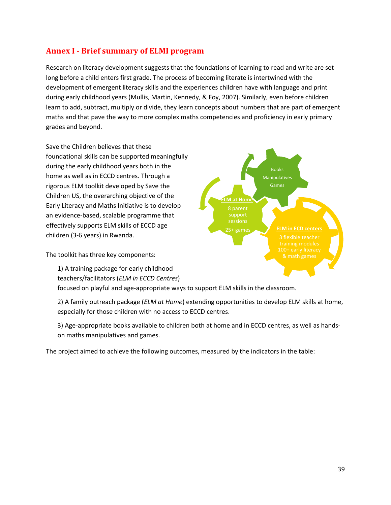# **Annex I - Brief summary of ELMI program**

Research on literacy development suggests that the foundations of learning to read and write are set long before a child enters first grade. The process of becoming literate is intertwined with the development of emergent literacy skills and the experiences children have with language and print during early childhood years (Mullis, Martin, Kennedy, & Foy, 2007). Similarly, even before children learn to add, subtract, multiply or divide, they learn concepts about numbers that are part of emergent maths and that pave the way to more complex maths competencies and proficiency in early primary grades and beyond.

Save the Children believes that these foundational skills can be supported meaningfully during the early childhood years both in the home as well as in ECCD centres. Through a rigorous ELM toolkit developed by Save the Children US, the overarching objective of the Early Literacy and Maths Initiative is to develop an evidence-based, scalable programme that effectively supports ELM skills of ECCD age children (3-6 years) in Rwanda.

The toolkit has three key components:

1) A training package for early childhood teachers/facilitators (*ELM in ECCD Centres*)

focused on playful and age-appropriate ways to support ELM skills in the classroom.

2) A family outreach package (*ELM at Home*) extending opportunities to develop ELM skills at home, especially for those children with no access to ECCD centres.

3) Age-appropriate books available to children both at home and in ECCD centres, as well as handson maths manipulatives and games.

The project aimed to achieve the following outcomes, measured by the indicators in the table:

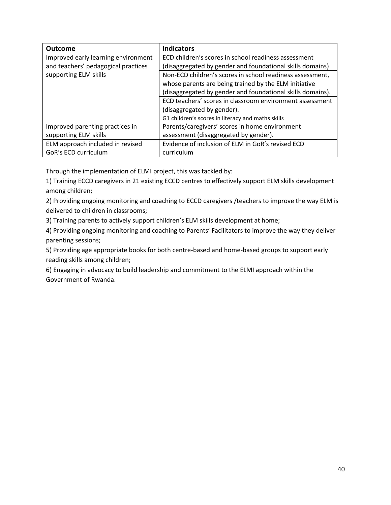| <b>Outcome</b>                      | <b>Indicators</b>                                          |
|-------------------------------------|------------------------------------------------------------|
| Improved early learning environment | ECD children's scores in school readiness assessment       |
| and teachers' pedagogical practices | (disaggregated by gender and foundational skills domains)  |
| supporting ELM skills               | Non-ECD children's scores in school readiness assessment,  |
|                                     | whose parents are being trained by the ELM initiative      |
|                                     | (disaggregated by gender and foundational skills domains). |
|                                     | ECD teachers' scores in classroom environment assessment   |
|                                     | (disaggregated by gender).                                 |
|                                     | G1 children's scores in literacy and maths skills          |
| Improved parenting practices in     | Parents/caregivers' scores in home environment             |
| supporting ELM skills               | assessment (disaggregated by gender).                      |
| ELM approach included in revised    | Evidence of inclusion of ELM in GoR's revised ECD          |
| GoR's ECD curriculum                | curriculum                                                 |

Through the implementation of ELMI project, this was tackled by:

1) Training ECCD caregivers in 21 existing ECCD centres to effectively support ELM skills development among children;

2) Providing ongoing monitoring and coaching to ECCD caregivers /teachers to improve the way ELM is delivered to children in classrooms;

3) Training parents to actively support children's ELM skills development at home;

4) Providing ongoing monitoring and coaching to Parents' Facilitators to improve the way they deliver parenting sessions;

5) Providing age appropriate books for both centre-based and home-based groups to support early reading skills among children;

6) Engaging in advocacy to build leadership and commitment to the ELMI approach within the Government of Rwanda.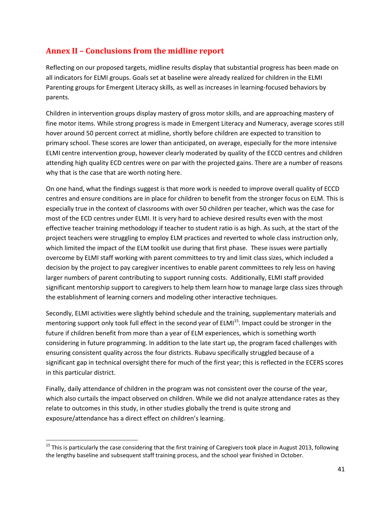# **Annex II – Conclusions from the midline report**

Reflecting on our proposed targets, midline results display that substantial progress has been made on all indicators for ELMI groups. Goals set at baseline were already realized for children in the ELMI Parenting groups for Emergent Literacy skills, as well as increases in learning-focused behaviors by parents.

Children in intervention groups display mastery of gross motor skills, and are approaching mastery of fine motor items. While strong progress is made in Emergent Literacy and Numeracy, average scores still hover around 50 percent correct at midline, shortly before children are expected to transition to primary school. These scores are lower than anticipated, on average, especially for the more intensive ELMI centre intervention group, however clearly moderated by quality of the ECCD centres and children attending high quality ECD centres were on par with the projected gains. There are a number of reasons why that is the case that are worth noting here.

On one hand, what the findings suggest is that more work is needed to improve overall quality of ECCD centres and ensure conditions are in place for children to benefit from the stronger focus on ELM. This is especially true in the context of classrooms with over 50 children per teacher, which was the case for most of the ECD centres under ELMI. It is very hard to achieve desired results even with the most effective teacher training methodology if teacher to student ratio is as high. As such, at the start of the project teachers were struggling to employ ELM practices and reverted to whole class instruction only, which limited the impact of the ELM toolkit use during that first phase. These issues were partially overcome by ELMI staff working with parent committees to try and limit class sizes, which included a decision by the project to pay caregiver incentives to enable parent committees to rely less on having larger numbers of parent contributing to support running costs. Additionally, ELMI staff provided significant mentorship support to caregivers to help them learn how to manage large class sizes through the establishment of learning corners and modeling other interactive techniques.

Secondly, ELMI activities were slightly behind schedule and the training, supplementary materials and mentoring support only took full effect in the second year of ELMI<sup>15</sup>. Impact could be stronger in the future if children benefit from more than a year of ELM experiences, which is something worth considering in future programming. In addition to the late start up, the program faced challenges with ensuring consistent quality across the four districts. Rubavu specifically struggled because of a significant gap in technical oversight there for much of the first year; this is reflected in the ECERS scores in this particular district.

Finally, daily attendance of children in the program was not consistent over the course of the year, which also curtails the impact observed on children. While we did not analyze attendance rates as they relate to outcomes in this study, in other studies globally the trend is quite strong and exposure/attendance has a direct effect on children's learning.

 $15$  This is particularly the case considering that the first training of Caregivers took place in August 2013, following the lengthy baseline and subsequent staff training process, and the school year finished in October.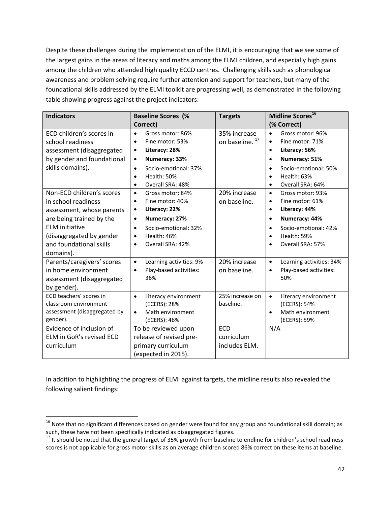Despite these challenges during the implementation of the ELMI, it is encouraging that we see some of the largest gains in the areas of literacy and maths among the ELMI children, and especially high gains among the children who attended high quality ECCD centres. Challenging skills such as phonological awareness and problem solving require further attention and support for teachers, but many of the foundational skills addressed by the ELMI toolkit are progressing well, as demonstrated in the following table showing progress against the project indicators:

| <b>Indicators</b>                                                                                                                                                                                      | <b>Baseline Scores (%</b><br>Correct)                                                                                                                                                                               | <b>Targets</b>                             | Midline Scores <sup>16</sup><br>(% Correct)                                                                                                                                                                                 |
|--------------------------------------------------------------------------------------------------------------------------------------------------------------------------------------------------------|---------------------------------------------------------------------------------------------------------------------------------------------------------------------------------------------------------------------|--------------------------------------------|-----------------------------------------------------------------------------------------------------------------------------------------------------------------------------------------------------------------------------|
| ECD children's scores in<br>school readiness<br>assessment (disaggregated<br>by gender and foundational<br>skills domains).                                                                            | Gross motor: 86%<br>$\bullet$<br>Fine motor: 53%<br>Literacy: 28%<br>٠<br>Numeracy: 33%<br>$\bullet$<br>Socio-emotional: 37%<br>$\bullet$<br>Health: 50%<br>$\bullet$<br>Overall SRA: 48%<br>٠                      | 35% increase<br>on baseline. <sup>17</sup> | Gross motor: 96%<br>$\bullet$<br>Fine motor: 71%<br>$\bullet$<br>Literacy: 56%<br>$\bullet$<br>Numeracy: 51%<br>$\bullet$<br>Socio-emotional: 50%<br>$\bullet$<br>Health: 63%<br>$\bullet$<br>Overall SRA: 64%<br>$\bullet$ |
| Non-ECD children's scores<br>in school readiness<br>assessment, whose parents<br>are being trained by the<br><b>ELM</b> initiative<br>(disaggregated by gender<br>and foundational skills<br>domains). | Gross motor: 84%<br>$\bullet$<br>Fine motor: 40%<br>$\bullet$<br>Literacy: 22%<br>$\bullet$<br>Numeracy: 27%<br>$\bullet$<br>Socio-emotional: 32%<br>$\bullet$<br>Health: 46%<br>٠<br>Overall SRA: 42%<br>$\bullet$ | 20% increase<br>on baseline.               | Gross motor: 93%<br>$\bullet$<br>Fine motor: 61%<br>$\bullet$<br>Literacy: 44%<br>$\bullet$<br>Numeracy: 44%<br>$\bullet$<br>Socio-emotional: 42%<br>$\bullet$<br>Health: 59%<br>$\bullet$<br>Overall SRA: 57%              |
| Parents/caregivers' scores<br>in home environment<br>assessment (disaggregated<br>by gender).                                                                                                          | Learning activities: 9%<br>$\bullet$<br>Play-based activities:<br>$\bullet$<br>36%                                                                                                                                  | 20% increase<br>on baseline.               | Learning activities: 34%<br>$\bullet$<br>Play-based activities:<br>$\bullet$<br>50%                                                                                                                                         |
| ECD teachers' scores in<br>classroom environment<br>assessment (disaggregated by<br>gender).                                                                                                           | Literacy environment<br>$\bullet$<br>(ECERS): 28%<br>Math environment<br>$\bullet$<br>(ECERS): 46%                                                                                                                  | 25% increase on<br>baseline.               | Literacy environment<br>$\bullet$<br>(ECERS): 54%<br>Math environment<br>(ECERS): 59%                                                                                                                                       |
| Evidence of inclusion of<br>ELM in GoR's revised ECD<br>curriculum                                                                                                                                     | To be reviewed upon<br>release of revised pre-<br>primary curriculum<br>(expected in 2015).                                                                                                                         | <b>ECD</b><br>curriculum<br>includes ELM.  | N/A                                                                                                                                                                                                                         |

In addition to highlighting the progress of ELMI against targets, the midline results also revealed the following salient findings:

 $16$  Note that no significant differences based on gender were found for any group and foundational skill domain; as such, these have not been specifically indicated as disaggregated figures.

<sup>&</sup>lt;sup>17</sup> It should be noted that the general target of 35% growth from baseline to endline for children's school readiness scores is not applicable for gross motor skills as on average children scored 86% correct on these items at baseline.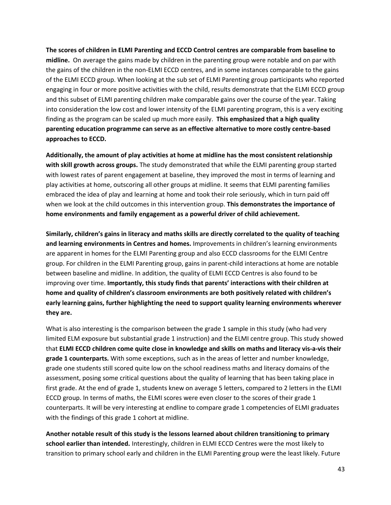**The scores of children in ELMI Parenting and ECCD Control centres are comparable from baseline to midline.** On average the gains made by children in the parenting group were notable and on par with the gains of the children in the non-ELMI ECCD centres, and in some instances comparable to the gains of the ELMI ECCD group. When looking at the sub set of ELMI Parenting group participants who reported engaging in four or more positive activities with the child, results demonstrate that the ELMI ECCD group and this subset of ELMI parenting children make comparable gains over the course of the year. Taking into consideration the low cost and lower intensity of the ELMI parenting program, this is a very exciting finding as the program can be scaled up much more easily. **This emphasized that a high quality parenting education programme can serve as an effective alternative to more costly centre-based approaches to ECCD.** 

**Additionally, the amount of play activities at home at midline has the most consistent relationship with skill growth across groups.** The study demonstrated that while the ELMI parenting group started with lowest rates of parent engagement at baseline, they improved the most in terms of learning and play activities at home, outscoring all other groups at midline. It seems that ELMI parenting families embraced the idea of play and learning at home and took their role seriously, which in turn paid off when we look at the child outcomes in this intervention group. **This demonstrates the importance of home environments and family engagement as a powerful driver of child achievement.**

**Similarly, children's gains in literacy and maths skills are directly correlated to the quality of teaching and learning environments in Centres and homes.** Improvements in children's learning environments are apparent in homes for the ELMI Parenting group and also ECCD classrooms for the ELMI Centre group. For children in the ELMI Parenting group, gains in parent-child interactions at home are notable between baseline and midline. In addition, the quality of ELMI ECCD Centres is also found to be improving over time. **Importantly, this study finds that parents' interactions with their children at home and quality of children's classroom environments are both positively related with children's early learning gains, further highlighting the need to support quality learning environments wherever they are.**

What is also interesting is the comparison between the grade 1 sample in this study (who had very limited ELM exposure but substantial grade 1 instruction) and the ELMI centre group. This study showed that **ELMI ECCD children come quite close in knowledge and skills on maths and literacy vis-a-vis their grade 1 counterparts.** With some exceptions, such as in the areas of letter and number knowledge, grade one students still scored quite low on the school readiness maths and literacy domains of the assessment, posing some critical questions about the quality of learning that has been taking place in first grade. At the end of grade 1, students knew on average 5 letters, compared to 2 letters in the ELMI ECCD group. In terms of maths, the ELMI scores were even closer to the scores of their grade 1 counterparts. It will be very interesting at endline to compare grade 1 competencies of ELMI graduates with the findings of this grade 1 cohort at midline.

**Another notable result of this study is the lessons learned about children transitioning to primary school earlier than intended.** Interestingly, children in ELMI ECCD Centres were the most likely to transition to primary school early and children in the ELMI Parenting group were the least likely. Future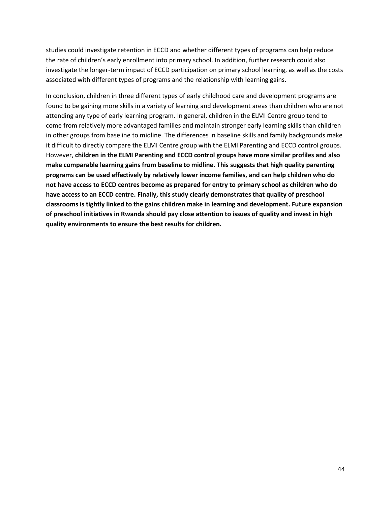studies could investigate retention in ECCD and whether different types of programs can help reduce the rate of children's early enrollment into primary school. In addition, further research could also investigate the longer-term impact of ECCD participation on primary school learning, as well as the costs associated with different types of programs and the relationship with learning gains.

In conclusion, children in three different types of early childhood care and development programs are found to be gaining more skills in a variety of learning and development areas than children who are not attending any type of early learning program. In general, children in the ELMI Centre group tend to come from relatively more advantaged families and maintain stronger early learning skills than children in other groups from baseline to midline. The differences in baseline skills and family backgrounds make it difficult to directly compare the ELMI Centre group with the ELMI Parenting and ECCD control groups. However, **children in the ELMI Parenting and ECCD control groups have more similar profiles and also make comparable learning gains from baseline to midline. This suggests that high quality parenting programs can be used effectively by relatively lower income families, and can help children who do not have access to ECCD centres become as prepared for entry to primary school as children who do have access to an ECCD centre. Finally, this study clearly demonstrates that quality of preschool classrooms is tightly linked to the gains children make in learning and development. Future expansion of preschool initiatives in Rwanda should pay close attention to issues of quality and invest in high quality environments to ensure the best results for children.**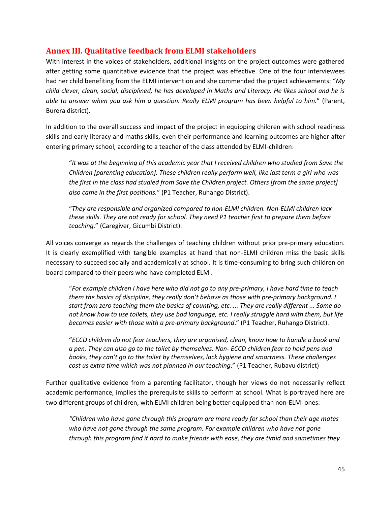# <span id="page-44-0"></span>**Annex III. Qualitative feedback from ELMI stakeholders**

With interest in the voices of stakeholders, additional insights on the project outcomes were gathered after getting some quantitative evidence that the project was effective. One of the four interviewees had her child benefiting from the ELMI intervention and she commended the project achievements: "*My child clever, clean, social, disciplined, he has developed in Maths and Literacy. He likes school and he is able to answer when you ask him a question. Really ELMI program has been helpful to him.*" (Parent, Burera district).

In addition to the overall success and impact of the project in equipping children with school readiness skills and early literacy and maths skills, even their performance and learning outcomes are higher after entering primary school, according to a teacher of the class attended by ELMI-children:

"*It was at the beginning of this academic year that I received children who studied from Save the Children [parenting education]. These children really perform well, like last term a girl who was the first in the class had studied from Save the Children project. Others [from the same project] also came in the first positions.*" (P1 Teacher, Ruhango District).

"*They are responsible and organized compared to non-ELMI children. Non-ELMI children lack these skills. They are not ready for school. They need P1 teacher first to prepare them before teaching.*" (Caregiver, Gicumbi District).

All voices converge as regards the challenges of teaching children without prior pre-primary education. It is clearly exemplified with tangible examples at hand that non-ELMI children miss the basic skills necessary to succeed socially and academically at school. It is time-consuming to bring such children on board compared to their peers who have completed ELMI.

"*For example children I have here who did not go to any pre-primary, I have hard time to teach them the basics of discipline, they really don't behave as those with pre-primary background. I start from zero teaching them the basics of counting, etc. ... They are really different ... Some do not know how to use toilets, they use bad language, etc. I really struggle hard with them, but life becomes easier with those with a pre-primary background*." (P1 Teacher, Ruhango District).

"*ECCD children do not fear teachers, they are organised, clean, know how to handle a book and a pen. They can also go to the toilet by themselves. Non- ECCD children fear to hold pens and books, they can't go to the toilet by themselves, lack hygiene and smartness. These challenges cost us extra time which was not planned in our teaching*." (P1 Teacher, Rubavu district)

Further qualitative evidence from a parenting facilitator, though her views do not necessarily reflect academic performance, implies the prerequisite skills to perform at school. What is portrayed here are two different groups of children, with ELMI children being better equipped than non-ELMI ones:

*"Children who have gone through this program are more ready for school than their age mates who have not gone through the same program. For example children who have not gone through this program find it hard to make friends with ease, they are timid and sometimes they*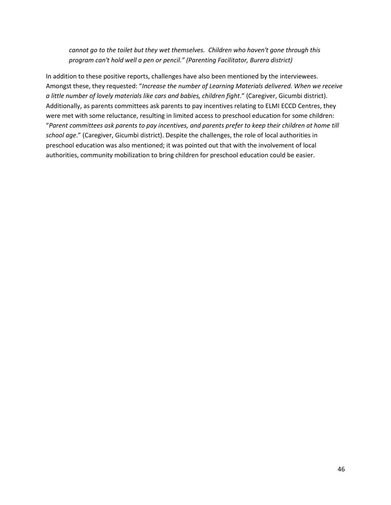*cannot go to the toilet but they wet themselves. Children who haven't gone through this program can't hold well a pen or pencil." (Parenting Facilitator, Burera district)*

In addition to these positive reports, challenges have also been mentioned by the interviewees. Amongst these, they requested: "*Increase the number of Learning Materials delivered. When we receive a little number of lovely materials like cars and babies, children fight*." (Caregiver, Gicumbi district). Additionally, as parents committees ask parents to pay incentives relating to ELMI ECCD Centres, they were met with some reluctance, resulting in limited access to preschool education for some children: "*Parent committees ask parents to pay incentives, and parents prefer to keep their children at home till school age*." (Caregiver, Gicumbi district). Despite the challenges, the role of local authorities in preschool education was also mentioned; it was pointed out that with the involvement of local authorities, community mobilization to bring children for preschool education could be easier.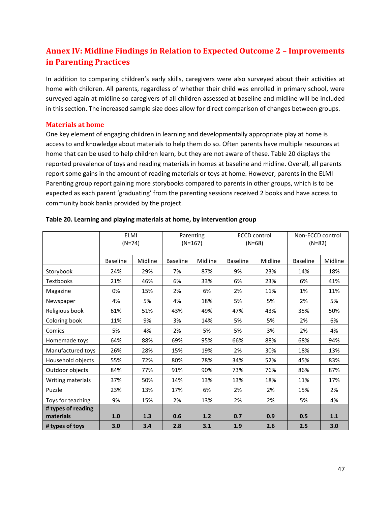# **Annex IV: Midline Findings in Relation to Expected Outcome 2 – Improvements in Parenting Practices**

In addition to comparing children's early skills, caregivers were also surveyed about their activities at home with children. All parents, regardless of whether their child was enrolled in primary school, were surveyed again at midline so caregivers of all children assessed at baseline and midline will be included in this section. The increased sample size does allow for direct comparison of changes between groups.

#### <span id="page-46-0"></span>**Materials at home**

One key element of engaging children in learning and developmentally appropriate play at home is access to and knowledge about materials to help them do so. Often parents have multiple resources at home that can be used to help children learn, but they are not aware of these. Table 20 displays the reported prevalence of toys and reading materials in homes at baseline and midline. Overall, all parents report some gains in the amount of reading materials or toys at home. However, parents in the ELMI Parenting group report gaining more storybooks compared to parents in other groups, which is to be expected as each parent 'graduating' from the parenting sessions received 2 books and have access to community book banks provided by the project.

|                                 | <b>ELMI</b><br>$(N=74)$ | Parenting<br>$(N=167)$ |                 | <b>ECCD control</b><br>$(N=68)$ |                 | Non-ECCD control<br>$(N=82)$ |                 |         |
|---------------------------------|-------------------------|------------------------|-----------------|---------------------------------|-----------------|------------------------------|-----------------|---------|
|                                 | <b>Baseline</b>         | Midline                | <b>Baseline</b> | Midline                         | <b>Baseline</b> | Midline                      | <b>Baseline</b> | Midline |
| Storybook                       | 24%                     | 29%                    | 7%              | 87%                             | 9%              | 23%                          | 14%             | 18%     |
| <b>Textbooks</b>                | 21%                     | 46%                    | 6%              | 33%                             | 6%              | 23%                          | 6%              | 41%     |
| Magazine                        | 0%                      | 15%                    | 2%              | 6%                              | 2%              | 11%                          | 1%              | 11%     |
| Newspaper                       | 4%                      | 5%                     | 4%              | 18%                             | 5%              | 5%                           | 2%              | 5%      |
| Religious book                  | 61%                     | 51%                    | 43%             | 49%                             | 47%             | 43%                          | 35%             | 50%     |
| Coloring book                   | 11%                     | 9%                     | 3%              | 14%                             | 5%              | 5%                           | 2%              | 6%      |
| Comics                          | 5%                      | 4%                     | 2%              | 5%                              | 5%              | 3%                           | 2%              | 4%      |
| Homemade toys                   | 64%                     | 88%                    | 69%             | 95%                             | 66%             | 88%                          | 68%             | 94%     |
| Manufactured toys               | 26%                     | 28%                    | 15%             | 19%                             | 2%              | 30%                          | 18%             | 13%     |
| Household objects               | 55%                     | 72%                    | 80%             | 78%                             | 34%             | 52%                          | 45%             | 83%     |
| Outdoor objects                 | 84%                     | 77%                    | 91%             | 90%                             | 73%             | 76%                          | 86%             | 87%     |
| Writing materials               | 37%                     | 50%                    | 14%             | 13%                             | 13%             | 18%                          | 11%             | 17%     |
| Puzzle                          | 23%                     | 13%                    | 17%             | 6%                              | 2%              | 2%                           | 15%             | 2%      |
| Toys for teaching               | 9%                      | 15%                    | 2%              | 13%                             | 2%              | 2%                           | 5%              | 4%      |
| # types of reading<br>materials | 1.0                     | 1.3                    | 0.6             | 1.2                             | 0.7             | 0.9                          | 0.5             | 1.1     |
| # types of toys                 | 3.0                     | 3.4                    | 2.8             | 3.1                             | 1.9             | 2.6                          | 2.5             | 3.0     |

#### **Table 20. Learning and playing materials at home, by intervention group**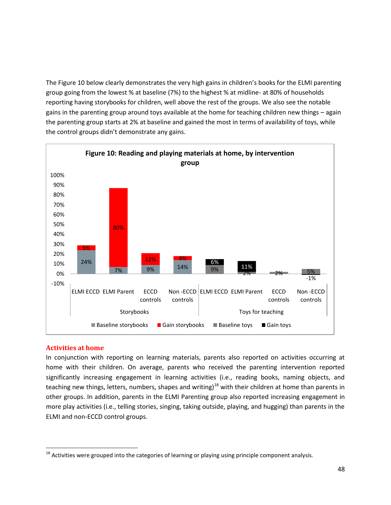The Figure 10 below clearly demonstrates the very high gains in children's books for the ELMI parenting group going from the lowest % at baseline (7%) to the highest % at midline- at 80% of households reporting having storybooks for children, well above the rest of the groups. We also see the notable gains in the parenting group around toys available at the home for teaching children new things – again the parenting group starts at 2% at baseline and gained the most in terms of availability of toys, while the control groups didn't demonstrate any gains.



#### <span id="page-47-0"></span>**Activities at home**

In conjunction with reporting on learning materials, parents also reported on activities occurring at home with their children. On average, parents who received the parenting intervention reported significantly increasing engagement in learning activities (i.e., reading books, naming objects, and teaching new things, letters, numbers, shapes and writing)<sup>18</sup> with their children at home than parents in other groups. In addition, parents in the ELMI Parenting group also reported increasing engagement in more play activities (i.e., telling stories, singing, taking outside, playing, and hugging) than parents in the ELMI and non-ECCD control groups.

<sup>&</sup>lt;sup>18</sup> Activities were grouped into the categories of learning or playing using principle component analysis.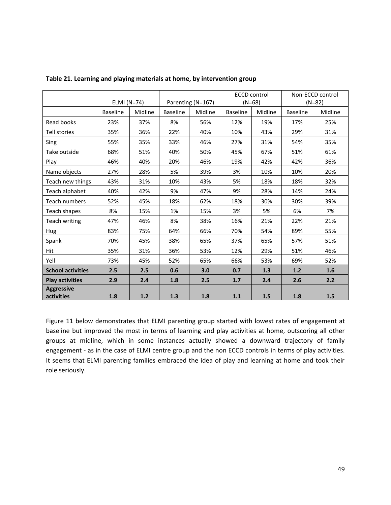|                                 |                 |         |                 |                   | <b>ECCD control</b> |         | Non-ECCD control |         |
|---------------------------------|-----------------|---------|-----------------|-------------------|---------------------|---------|------------------|---------|
|                                 | ELMI (N=74)     |         |                 | Parenting (N=167) | $(N=68)$            |         | $(N=82)$         |         |
|                                 | <b>Baseline</b> | Midline | <b>Baseline</b> | Midline           | <b>Baseline</b>     | Midline | <b>Baseline</b>  | Midline |
| Read books                      | 23%             | 37%     | 8%              | 56%               | 12%                 | 19%     | 17%              | 25%     |
| Tell stories                    | 35%             | 36%     | 22%             | 40%               | 10%                 | 43%     | 29%              | 31%     |
| Sing                            | 55%             | 35%     | 33%             | 46%               | 27%                 | 31%     | 54%              | 35%     |
| Take outside                    | 68%             | 51%     | 40%             | 50%               | 45%                 | 67%     | 51%              | 61%     |
| Play                            | 46%             | 40%     | 20%             | 46%               | 19%                 | 42%     | 42%              | 36%     |
| Name objects                    | 27%             | 28%     | 5%              | 39%               | 3%                  | 10%     | 10%              | 20%     |
| Teach new things                | 43%             | 31%     | 10%             | 43%               | 5%                  | 18%     | 18%              | 32%     |
| Teach alphabet                  | 40%             | 42%     | 9%              | 47%               | 9%                  | 28%     | 14%              | 24%     |
| Teach numbers                   | 52%             | 45%     | 18%             | 62%               | 18%                 | 30%     | 30%              | 39%     |
| Teach shapes                    | 8%              | 15%     | 1%              | 15%               | 3%                  | 5%      | 6%               | 7%      |
| Teach writing                   | 47%             | 46%     | 8%              | 38%               | 16%                 | 21%     | 22%              | 21%     |
| <b>Hug</b>                      | 83%             | 75%     | 64%             | 66%               | 70%                 | 54%     | 89%              | 55%     |
| Spank                           | 70%             | 45%     | 38%             | 65%               | 37%                 | 65%     | 57%              | 51%     |
| <b>Hit</b>                      | 35%             | 31%     | 36%             | 53%               | 12%                 | 29%     | 51%              | 46%     |
| Yell                            | 73%             | 45%     | 52%             | 65%               | 66%                 | 53%     | 69%              | 52%     |
| <b>School activities</b>        | 2.5             | 2.5     | 0.6             | 3.0               | 0.7                 | 1.3     | $1.2$            | 1.6     |
| <b>Play activities</b>          | 2.9             | 2.4     | 1.8             | 2.5               | 1.7                 | 2.4     | 2.6              | 2.2     |
| <b>Aggressive</b><br>activities | 1.8             | 1.2     | 1.3             | 1.8               | $1.1\,$             | 1.5     | 1.8              | 1.5     |

**Table 21. Learning and playing materials at home, by intervention group**

Figure 11 below demonstrates that ELMI parenting group started with lowest rates of engagement at baseline but improved the most in terms of learning and play activities at home, outscoring all other groups at midline, which in some instances actually showed a downward trajectory of family engagement - as in the case of ELMI centre group and the non ECCD controls in terms of play activities. It seems that ELMI parenting families embraced the idea of play and learning at home and took their role seriously.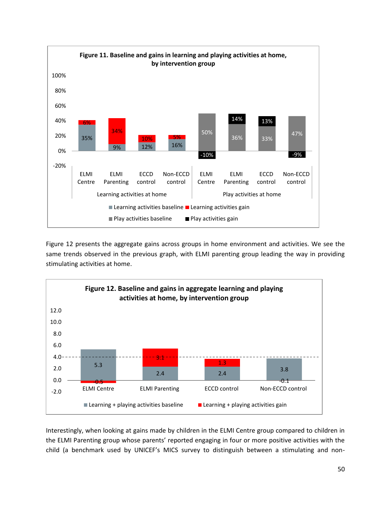

Figure 12 presents the aggregate gains across groups in home environment and activities. We see the same trends observed in the previous graph, with ELMI parenting group leading the way in providing stimulating activities at home.



Interestingly, when looking at gains made by children in the ELMI Centre group compared to children in the ELMI Parenting group whose parents' reported engaging in four or more positive activities with the child (a benchmark used by UNICEF's MICS survey to distinguish between a stimulating and non